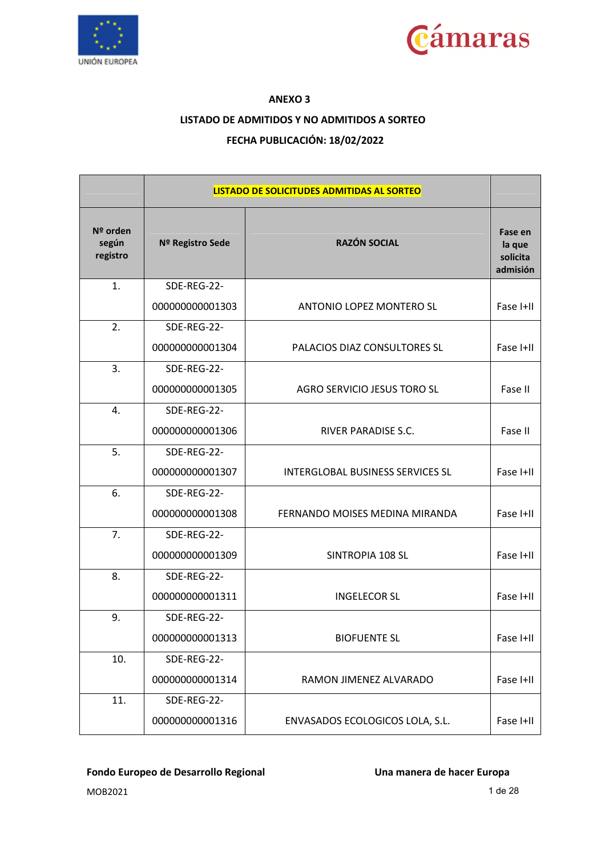



### **ANEXO 3**

### **LISTADO DE ADMITIDOS Y NO ADMITIDOS A SORTEO**

### **FECHA PUBLICACIÓN: 18/02/2022**

|                               |                  | <b>LISTADO DE SOLICITUDES ADMITIDAS AL SORTEO</b> |                                           |
|-------------------------------|------------------|---------------------------------------------------|-------------------------------------------|
| Nº orden<br>según<br>registro | Nº Registro Sede | <b>RAZÓN SOCIAL</b>                               | Fase en<br>la que<br>solicita<br>admisión |
| 1.                            | SDE-REG-22-      |                                                   |                                           |
|                               | 000000000001303  | <b>ANTONIO LOPEZ MONTERO SL</b>                   | Fase I+II                                 |
| 2.                            | SDE-REG-22-      |                                                   |                                           |
|                               | 000000000001304  | PALACIOS DIAZ CONSULTORES SL                      | Fase I+II                                 |
| 3.                            | SDE-REG-22-      |                                                   |                                           |
|                               | 000000000001305  | AGRO SERVICIO JESUS TORO SL                       | Fase II                                   |
| 4.                            | SDE-REG-22-      |                                                   |                                           |
|                               | 000000000001306  | <b>RIVER PARADISE S.C.</b>                        | Fase II                                   |
| 5.                            | SDE-REG-22-      |                                                   |                                           |
|                               | 000000000001307  | <b>INTERGLOBAL BUSINESS SERVICES SL</b>           | Fase I+II                                 |
| 6.                            | SDE-REG-22-      |                                                   |                                           |
|                               | 000000000001308  | FERNANDO MOISES MEDINA MIRANDA                    | Fase I+II                                 |
| 7.                            | SDE-REG-22-      |                                                   |                                           |
|                               | 000000000001309  | SINTROPIA 108 SL                                  | Fase I+II                                 |
| 8.                            | SDE-REG-22-      |                                                   |                                           |
|                               | 000000000001311  | <b>INGELECOR SL</b>                               | Fase I+II                                 |
| 9.                            | SDE-REG-22-      |                                                   |                                           |
|                               | 000000000001313  | <b>BIOFUENTE SL</b>                               | Fase I+II                                 |
| 10.                           | SDE-REG-22-      |                                                   |                                           |
|                               | 000000000001314  | RAMON JIMENEZ ALVARADO                            | Fase I+II                                 |
| 11.                           | SDE-REG-22-      |                                                   |                                           |
|                               | 000000000001316  | ENVASADOS ECOLOGICOS LOLA, S.L.                   | Fase I+II                                 |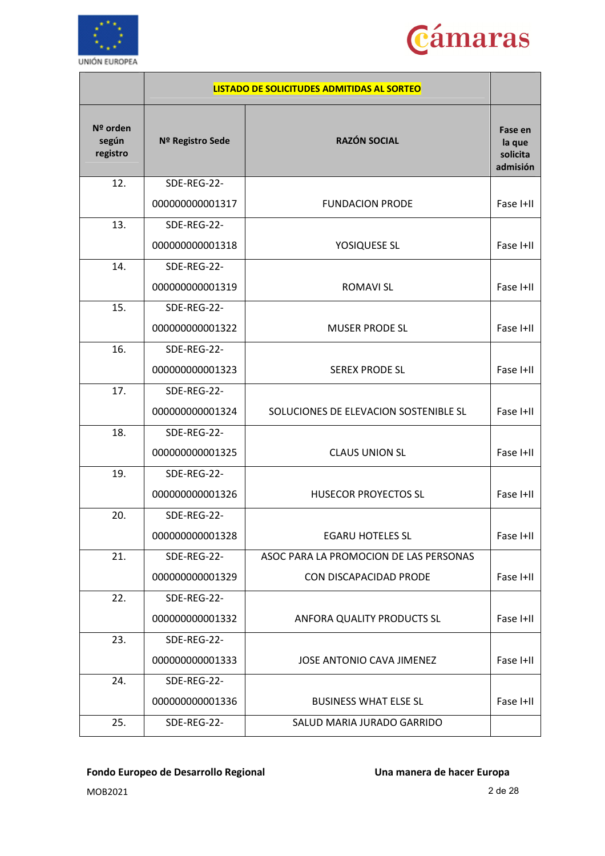



|                               |                  | <b>LISTADO DE SOLICITUDES ADMITIDAS AL SORTEO</b> |                                           |
|-------------------------------|------------------|---------------------------------------------------|-------------------------------------------|
| Nº orden<br>según<br>registro | Nº Registro Sede | <b>RAZÓN SOCIAL</b>                               | Fase en<br>la que<br>solicita<br>admisión |
| 12.                           | SDE-REG-22-      |                                                   |                                           |
|                               | 000000000001317  | <b>FUNDACION PRODE</b>                            | Fase I+II                                 |
| 13.                           | SDE-REG-22-      |                                                   |                                           |
|                               | 000000000001318  | YOSIQUESE SL                                      | Fase I+II                                 |
| 14.                           | SDE-REG-22-      |                                                   |                                           |
|                               | 000000000001319  | <b>ROMAVI SL</b>                                  | Fase I+II                                 |
| 15.                           | SDE-REG-22-      |                                                   |                                           |
|                               | 000000000001322  | <b>MUSER PRODE SL</b>                             | Fase I+II                                 |
| 16.                           | SDE-REG-22-      |                                                   |                                           |
|                               | 000000000001323  | <b>SEREX PRODE SL</b>                             | Fase I+II                                 |
| 17.                           | SDE-REG-22-      |                                                   |                                           |
|                               | 000000000001324  | SOLUCIONES DE ELEVACION SOSTENIBLE SL             | Fase I+II                                 |
| 18.                           | SDE-REG-22-      |                                                   |                                           |
|                               | 000000000001325  | <b>CLAUS UNION SL</b>                             | Fase I+II                                 |
| 19.                           | SDE-REG-22-      |                                                   |                                           |
|                               | 000000000001326  | <b>HUSECOR PROYECTOS SL</b>                       | Fase I+II                                 |
| 20.                           | SDE-REG-22-      |                                                   |                                           |
|                               | 000000000001328  | <b>EGARU HOTELES SL</b>                           | Fase I+II                                 |
| 21.                           | SDE-REG-22-      | ASOC PARA LA PROMOCION DE LAS PERSONAS            |                                           |
|                               | 000000000001329  | CON DISCAPACIDAD PRODE                            | Fase I+II                                 |
| 22.                           | SDE-REG-22-      |                                                   |                                           |
|                               | 000000000001332  | ANFORA QUALITY PRODUCTS SL                        | Fase I+II                                 |
| 23.                           | SDE-REG-22-      |                                                   |                                           |
|                               | 000000000001333  | JOSE ANTONIO CAVA JIMENEZ                         | Fase I+II                                 |
| 24.                           | SDE-REG-22-      |                                                   |                                           |
|                               | 000000000001336  | <b>BUSINESS WHAT ELSE SL</b>                      | Fase I+II                                 |
| 25.                           | SDE-REG-22-      | SALUD MARIA JURADO GARRIDO                        |                                           |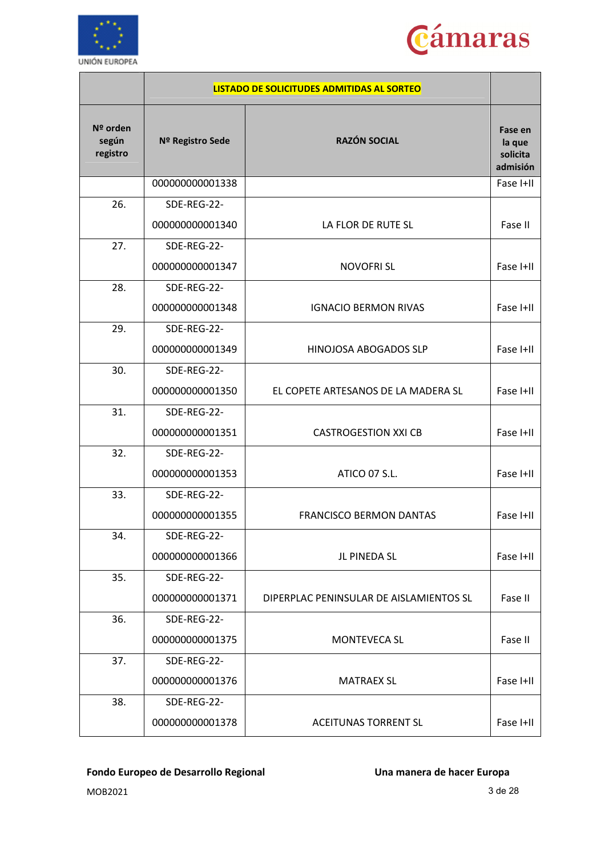



|                               |                  | <b>LISTADO DE SOLICITUDES ADMITIDAS AL SORTEO</b> |                                           |
|-------------------------------|------------------|---------------------------------------------------|-------------------------------------------|
| Nº orden<br>según<br>registro | Nº Registro Sede | <b>RAZÓN SOCIAL</b>                               | Fase en<br>la que<br>solicita<br>admisión |
|                               | 000000000001338  |                                                   | Fase I+II                                 |
| 26.                           | SDE-REG-22-      |                                                   |                                           |
|                               | 000000000001340  | LA FLOR DE RUTE SL                                | Fase II                                   |
| 27.                           | SDE-REG-22-      |                                                   |                                           |
|                               | 000000000001347  | <b>NOVOFRISL</b>                                  | Fase I+II                                 |
| 28.                           | SDE-REG-22-      |                                                   |                                           |
|                               | 000000000001348  | <b>IGNACIO BERMON RIVAS</b>                       | Fase I+II                                 |
| 29.                           | SDE-REG-22-      |                                                   |                                           |
|                               | 000000000001349  | HINOJOSA ABOGADOS SLP                             | Fase I+II                                 |
| 30.                           | SDE-REG-22-      |                                                   |                                           |
|                               | 000000000001350  | EL COPETE ARTESANOS DE LA MADERA SL               | Fase I+II                                 |
| 31.                           | SDE-REG-22-      |                                                   |                                           |
|                               | 000000000001351  | <b>CASTROGESTION XXI CB</b>                       | Fase I+II                                 |
| 32.                           | SDE-REG-22-      |                                                   |                                           |
|                               | 000000000001353  | ATICO 07 S.L.                                     | Fase I+II                                 |
| 33.                           | SDE-REG-22-      |                                                   |                                           |
|                               | 000000000001355  | <b>FRANCISCO BERMON DANTAS</b>                    | Fase I+II                                 |
| 34.                           | SDE-REG-22-      |                                                   |                                           |
|                               | 000000000001366  | JL PINEDA SL                                      | Fase I+II                                 |
| 35.                           | SDE-REG-22-      |                                                   |                                           |
|                               | 000000000001371  | DIPERPLAC PENINSULAR DE AISLAMIENTOS SL           | Fase II                                   |
| 36.                           | SDE-REG-22-      |                                                   |                                           |
|                               | 000000000001375  | <b>MONTEVECA SL</b>                               | Fase II                                   |
| 37.                           | SDE-REG-22-      |                                                   |                                           |
|                               | 000000000001376  | <b>MATRAEX SL</b>                                 | Fase I+II                                 |
| 38.                           | SDE-REG-22-      |                                                   |                                           |
|                               | 000000000001378  | <b>ACEITUNAS TORRENT SL</b>                       | Fase I+II                                 |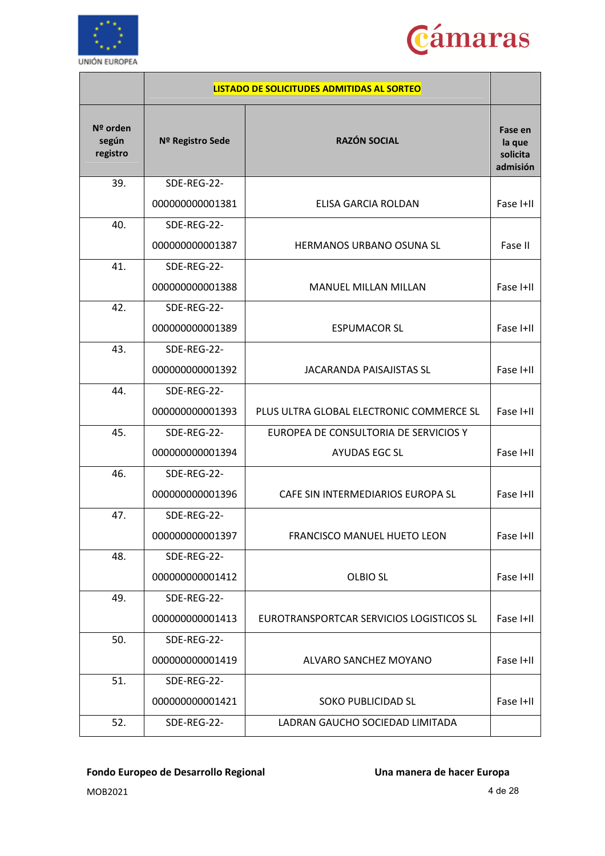



|                               |                  | LISTADO DE SOLICITUDES ADMITIDAS AL SORTEO |                                           |
|-------------------------------|------------------|--------------------------------------------|-------------------------------------------|
| Nº orden<br>según<br>registro | Nº Registro Sede | <b>RAZÓN SOCIAL</b>                        | Fase en<br>la que<br>solicita<br>admisión |
| 39.                           | SDE-REG-22-      |                                            |                                           |
|                               | 000000000001381  | ELISA GARCIA ROLDAN                        | Fase I+II                                 |
| 40.                           | SDE-REG-22-      |                                            |                                           |
|                               | 000000000001387  | <b>HERMANOS URBANO OSUNA SL</b>            | Fase II                                   |
| 41.                           | SDE-REG-22-      |                                            |                                           |
|                               | 000000000001388  | <b>MANUEL MILLAN MILLAN</b>                | Fase I+II                                 |
| 42.                           | SDE-REG-22-      |                                            |                                           |
|                               | 000000000001389  | <b>ESPUMACOR SL</b>                        | Fase I+II                                 |
| 43.                           | SDE-REG-22-      |                                            |                                           |
|                               | 000000000001392  | <b>JACARANDA PAISAJISTAS SL</b>            | Fase I+II                                 |
| 44.                           | SDE-REG-22-      |                                            |                                           |
|                               | 000000000001393  | PLUS ULTRA GLOBAL ELECTRONIC COMMERCE SL   | Fase I+II                                 |
| 45.                           | SDE-REG-22-      | EUROPEA DE CONSULTORIA DE SERVICIOS Y      |                                           |
|                               | 000000000001394  | <b>AYUDAS EGC SL</b>                       | Fase I+II                                 |
| 46.                           | SDE-REG-22-      |                                            |                                           |
|                               | 000000000001396  | CAFE SIN INTERMEDIARIOS EUROPA SL          | Fase I+II                                 |
| 47.                           | SDE-REG-22-      |                                            |                                           |
|                               | 000000000001397  | FRANCISCO MANUEL HUETO LEON                | Fase I+II                                 |
| 48.                           | SDE-REG-22-      |                                            |                                           |
|                               | 000000000001412  | <b>OLBIO SL</b>                            | Fase I+II                                 |
| 49.                           | SDE-REG-22-      |                                            |                                           |
|                               | 000000000001413  | EUROTRANSPORTCAR SERVICIOS LOGISTICOS SL   | Fase I+II                                 |
| 50.                           | SDE-REG-22-      |                                            |                                           |
|                               | 000000000001419  | ALVARO SANCHEZ MOYANO                      | Fase I+II                                 |
| 51.                           | SDE-REG-22-      |                                            |                                           |
|                               | 000000000001421  | <b>SOKO PUBLICIDAD SL</b>                  | Fase I+II                                 |
| 52.                           | SDE-REG-22-      | LADRAN GAUCHO SOCIEDAD LIMITADA            |                                           |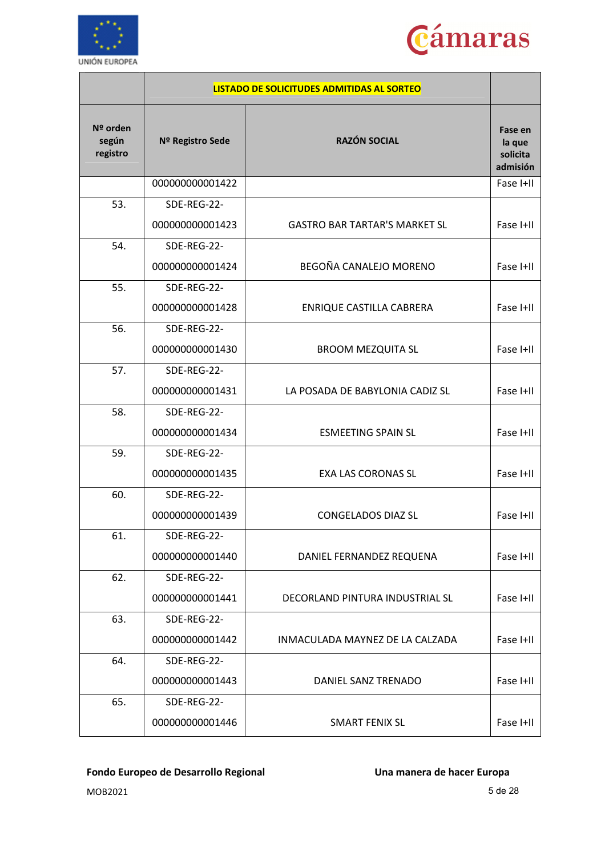



|                               |                  | <b>LISTADO DE SOLICITUDES ADMITIDAS AL SORTEO</b> |                                           |
|-------------------------------|------------------|---------------------------------------------------|-------------------------------------------|
| Nº orden<br>según<br>registro | Nº Registro Sede | <b>RAZÓN SOCIAL</b>                               | Fase en<br>la que<br>solicita<br>admisión |
|                               | 000000000001422  |                                                   | Fase I+II                                 |
| 53.                           | SDE-REG-22-      |                                                   |                                           |
|                               | 000000000001423  | <b>GASTRO BAR TARTAR'S MARKET SL</b>              | Fase I+II                                 |
| 54.                           | SDE-REG-22-      |                                                   |                                           |
|                               | 000000000001424  | BEGOÑA CANALEJO MORENO                            | Fase I+II                                 |
| 55.                           | SDE-REG-22-      |                                                   |                                           |
|                               | 000000000001428  | ENRIQUE CASTILLA CABRERA                          | Fase I+II                                 |
| 56.                           | SDE-REG-22-      |                                                   |                                           |
|                               | 000000000001430  | <b>BROOM MEZQUITA SL</b>                          | Fase I+II                                 |
| 57.                           | SDE-REG-22-      |                                                   |                                           |
|                               | 000000000001431  | LA POSADA DE BABYLONIA CADIZ SL                   | Fase I+II                                 |
| 58.                           | SDE-REG-22-      |                                                   |                                           |
|                               | 000000000001434  | <b>ESMEETING SPAIN SL</b>                         | Fase I+II                                 |
| 59.                           | SDE-REG-22-      |                                                   |                                           |
|                               | 000000000001435  | <b>EXA LAS CORONAS SL</b>                         | Fase I+II                                 |
| 60.                           | SDE-REG-22-      |                                                   |                                           |
|                               | 000000000001439  | <b>CONGELADOS DIAZ SL</b>                         | Fase I+II                                 |
| 61.                           | SDE-REG-22-      |                                                   |                                           |
|                               | 000000000001440  | DANIEL FERNANDEZ REQUENA                          | Fase I+II                                 |
| 62.                           | SDE-REG-22-      |                                                   |                                           |
|                               | 000000000001441  | DECORLAND PINTURA INDUSTRIAL SL                   | Fase I+II                                 |
| 63.                           | SDE-REG-22-      |                                                   |                                           |
|                               | 000000000001442  | INMACULADA MAYNEZ DE LA CALZADA                   | Fase I+II                                 |
| 64.                           | SDE-REG-22-      |                                                   |                                           |
|                               | 000000000001443  | DANIEL SANZ TRENADO                               | Fase I+II                                 |
| 65.                           | SDE-REG-22-      |                                                   |                                           |
|                               | 000000000001446  | SMART FENIX SL                                    | Fase I+II                                 |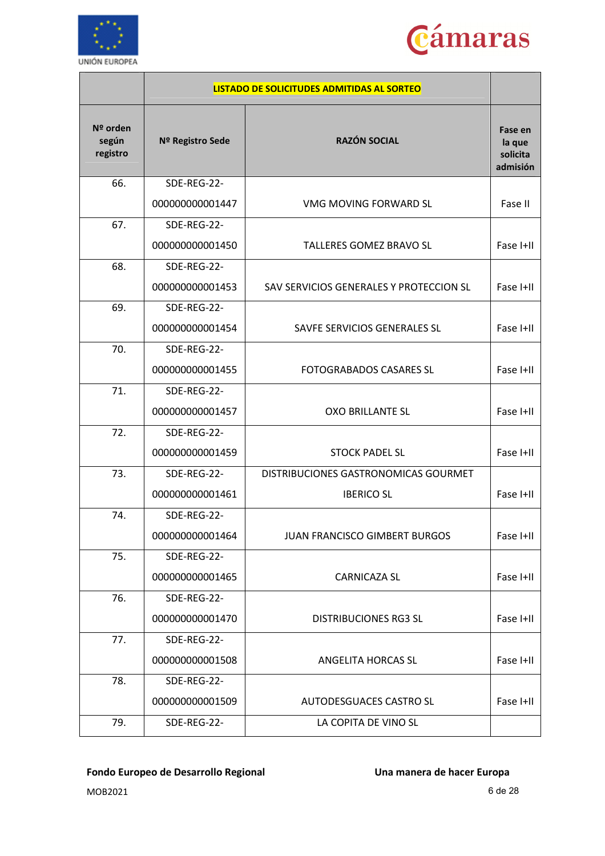



|                               |                  | LISTADO DE SOLICITUDES ADMITIDAS AL SORTEO |                                           |
|-------------------------------|------------------|--------------------------------------------|-------------------------------------------|
| Nº orden<br>según<br>registro | Nº Registro Sede | <b>RAZÓN SOCIAL</b>                        | Fase en<br>la que<br>solicita<br>admisión |
| 66.                           | SDE-REG-22-      |                                            |                                           |
|                               | 000000000001447  | VMG MOVING FORWARD SL                      | Fase II                                   |
| 67.                           | SDE-REG-22-      |                                            |                                           |
|                               | 000000000001450  | TALLERES GOMEZ BRAVO SL                    | Fase I+II                                 |
| 68.                           | SDE-REG-22-      |                                            |                                           |
|                               | 000000000001453  | SAV SERVICIOS GENERALES Y PROTECCION SL    | Fase I+II                                 |
| 69.                           | SDE-REG-22-      |                                            |                                           |
|                               | 000000000001454  | SAVFE SERVICIOS GENERALES SL               | Fase I+II                                 |
| 70.                           | SDE-REG-22-      |                                            |                                           |
|                               | 000000000001455  | <b>FOTOGRABADOS CASARES SL</b>             | Fase I+II                                 |
| 71.                           | SDE-REG-22-      |                                            |                                           |
|                               | 000000000001457  | <b>OXO BRILLANTE SL</b>                    | Fase I+II                                 |
| 72.                           | SDE-REG-22-      |                                            |                                           |
|                               | 000000000001459  | <b>STOCK PADEL SL</b>                      | Fase I+II                                 |
| 73.                           | SDE-REG-22-      | DISTRIBUCIONES GASTRONOMICAS GOURMET       |                                           |
|                               | 000000000001461  | <b>IBERICO SL</b>                          | Fase I+II                                 |
| 74.                           | SDE-REG-22-      |                                            |                                           |
|                               | 000000000001464  | JUAN FRANCISCO GIMBERT BURGOS              | Fase I+II                                 |
| 75.                           | SDE-REG-22-      |                                            |                                           |
|                               | 000000000001465  | <b>CARNICAZA SL</b>                        | Fase I+II                                 |
| 76.                           | SDE-REG-22-      |                                            |                                           |
|                               | 000000000001470  | DISTRIBUCIONES RG3 SL                      | Fase I+II                                 |
| 77.                           | SDE-REG-22-      |                                            |                                           |
|                               | 000000000001508  | ANGELITA HORCAS SL                         | Fase I+II                                 |
| 78.                           | SDE-REG-22-      |                                            |                                           |
|                               | 000000000001509  | AUTODESGUACES CASTRO SL                    | Fase I+II                                 |
| 79.                           | SDE-REG-22-      | LA COPITA DE VINO SL                       |                                           |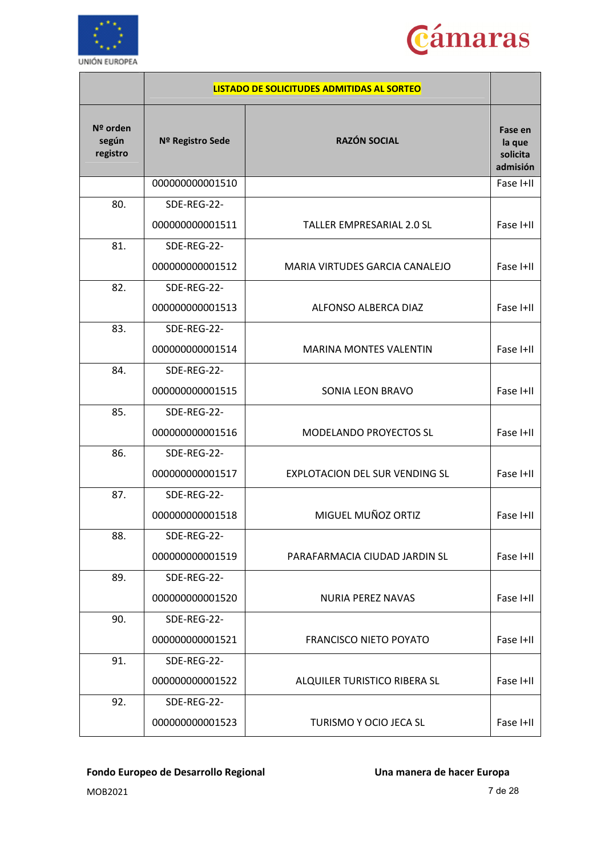



|                               |                  | LISTADO DE SOLICITUDES ADMITIDAS AL SORTEO |                                           |
|-------------------------------|------------------|--------------------------------------------|-------------------------------------------|
| Nº orden<br>según<br>registro | Nº Registro Sede | <b>RAZÓN SOCIAL</b>                        | Fase en<br>la que<br>solicita<br>admisión |
|                               | 000000000001510  |                                            | Fase I+II                                 |
| 80.                           | SDE-REG-22-      |                                            |                                           |
|                               | 000000000001511  | <b>TALLER EMPRESARIAL 2.0 SL</b>           | Fase I+II                                 |
| 81.                           | SDE-REG-22-      |                                            |                                           |
|                               | 000000000001512  | MARIA VIRTUDES GARCIA CANALEJO             | Fase I+II                                 |
| 82.                           | SDE-REG-22-      |                                            |                                           |
|                               | 000000000001513  | ALFONSO ALBERCA DIAZ                       | Fase I+II                                 |
| 83.                           | SDE-REG-22-      |                                            |                                           |
|                               | 000000000001514  | <b>MARINA MONTES VALENTIN</b>              | Fase I+II                                 |
| 84.                           | SDE-REG-22-      |                                            |                                           |
|                               | 000000000001515  | SONIA LEON BRAVO                           | Fase I+II                                 |
| 85.                           | SDE-REG-22-      |                                            |                                           |
|                               | 000000000001516  | <b>MODELANDO PROYECTOS SL</b>              | Fase I+II                                 |
| 86.                           | SDE-REG-22-      |                                            |                                           |
|                               | 000000000001517  | EXPLOTACION DEL SUR VENDING SL             | Fase I+II                                 |
| 87.                           | SDE-REG-22-      |                                            |                                           |
|                               | 000000000001518  | MIGUEL MUÑOZ ORTIZ                         | Fase I+II                                 |
| 88.                           | SDE-REG-22-      |                                            |                                           |
|                               | 000000000001519  | PARAFARMACIA CIUDAD JARDIN SL              | Fase I+II                                 |
| 89.                           | SDE-REG-22-      |                                            |                                           |
|                               | 000000000001520  | NURIA PEREZ NAVAS                          | Fase I+II                                 |
| 90.                           | SDE-REG-22-      |                                            |                                           |
|                               | 000000000001521  | <b>FRANCISCO NIETO POYATO</b>              | Fase I+II                                 |
| 91.                           | SDE-REG-22-      |                                            |                                           |
|                               | 000000000001522  | ALQUILER TURISTICO RIBERA SL               | Fase I+II                                 |
| 92.                           | SDE-REG-22-      |                                            |                                           |
|                               | 000000000001523  | TURISMO Y OCIO JECA SL                     | Fase I+II                                 |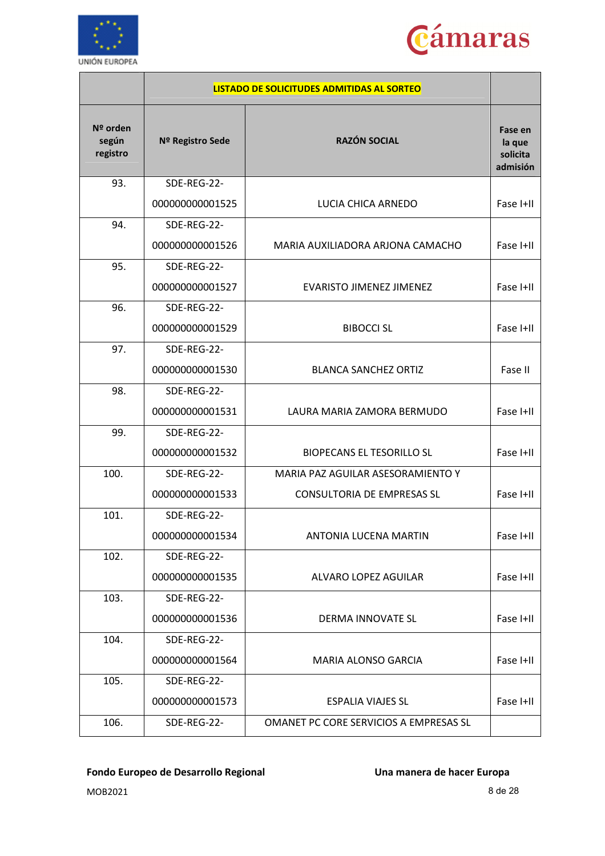



|                               |                  | LISTADO DE SOLICITUDES ADMITIDAS AL SORTEO |                                           |
|-------------------------------|------------------|--------------------------------------------|-------------------------------------------|
| Nº orden<br>según<br>registro | Nº Registro Sede | <b>RAZÓN SOCIAL</b>                        | Fase en<br>la que<br>solicita<br>admisión |
| 93.                           | SDE-REG-22-      |                                            |                                           |
|                               | 000000000001525  | LUCIA CHICA ARNEDO                         | Fase I+II                                 |
| 94.                           | SDE-REG-22-      |                                            |                                           |
|                               | 000000000001526  | MARIA AUXILIADORA ARJONA CAMACHO           | Fase I+II                                 |
| 95.                           | SDE-REG-22-      |                                            |                                           |
|                               | 000000000001527  | <b>EVARISTO JIMENEZ JIMENEZ</b>            | Fase I+II                                 |
| 96.                           | SDE-REG-22-      |                                            |                                           |
|                               | 000000000001529  | <b>BIBOCCI SL</b>                          | Fase I+II                                 |
| 97.                           | SDE-REG-22-      |                                            |                                           |
|                               | 000000000001530  | <b>BLANCA SANCHEZ ORTIZ</b>                | Fase II                                   |
| 98.                           | SDE-REG-22-      |                                            |                                           |
|                               | 000000000001531  | LAURA MARIA ZAMORA BERMUDO                 | Fase I+II                                 |
| 99.                           | SDE-REG-22-      |                                            |                                           |
|                               | 000000000001532  | <b>BIOPECANS EL TESORILLO SL</b>           | Fase I+II                                 |
| 100.                          | SDE-REG-22-      | MARIA PAZ AGUILAR ASESORAMIENTO Y          |                                           |
|                               | 000000000001533  | <b>CONSULTORIA DE EMPRESAS SL</b>          | Fase I+II                                 |
| 101.                          | SDE-REG-22-      |                                            |                                           |
|                               | 000000000001534  | ANTONIA LUCENA MARTIN                      | Fase I+II                                 |
| 102.                          | SDE-REG-22-      |                                            |                                           |
|                               | 000000000001535  | ALVARO LOPEZ AGUILAR                       | Fase I+II                                 |
| 103.                          | SDE-REG-22-      |                                            |                                           |
|                               | 000000000001536  | DERMA INNOVATE SL                          | Fase I+II                                 |
| 104.                          | SDE-REG-22-      |                                            |                                           |
|                               | 000000000001564  | MARIA ALONSO GARCIA                        | Fase I+II                                 |
| 105.                          | SDE-REG-22-      |                                            |                                           |
|                               | 000000000001573  | <b>ESPALIA VIAJES SL</b>                   | Fase I+II                                 |
| 106.                          | SDE-REG-22-      | OMANET PC CORE SERVICIOS A EMPRESAS SL     |                                           |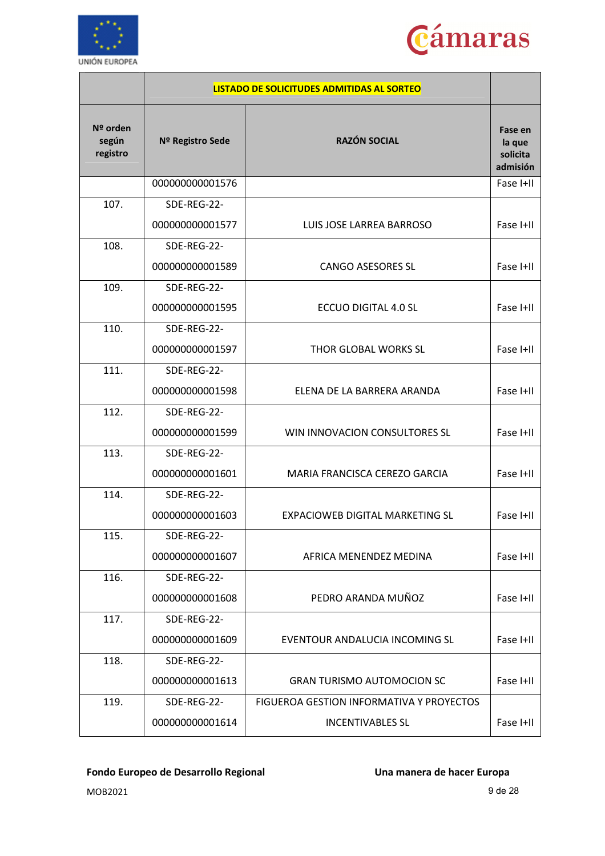



|                               |                  | LISTADO DE SOLICITUDES ADMITIDAS AL SORTEO |                                           |
|-------------------------------|------------------|--------------------------------------------|-------------------------------------------|
| Nº orden<br>según<br>registro | Nº Registro Sede | <b>RAZÓN SOCIAL</b>                        | Fase en<br>la que<br>solicita<br>admisión |
|                               | 000000000001576  |                                            | Fase I+II                                 |
| 107.                          | SDE-REG-22-      |                                            |                                           |
|                               | 000000000001577  | LUIS JOSE LARREA BARROSO                   | Fase I+II                                 |
| 108.                          | SDE-REG-22-      |                                            |                                           |
|                               | 000000000001589  | <b>CANGO ASESORES SL</b>                   | Fase I+II                                 |
| 109.                          | SDE-REG-22-      |                                            |                                           |
|                               | 000000000001595  | ECCUO DIGITAL 4.0 SL                       | Fase I+II                                 |
| 110.                          | SDE-REG-22-      |                                            |                                           |
|                               | 000000000001597  | THOR GLOBAL WORKS SL                       | Fase I+II                                 |
| 111.                          | SDE-REG-22-      |                                            |                                           |
|                               | 000000000001598  | ELENA DE LA BARRERA ARANDA                 | Fase I+II                                 |
| 112.                          | SDE-REG-22-      |                                            |                                           |
|                               | 000000000001599  | WIN INNOVACION CONSULTORES SL              | Fase I+II                                 |
| 113.                          | SDE-REG-22-      |                                            |                                           |
|                               | 000000000001601  | MARIA FRANCISCA CEREZO GARCIA              | Fase I+II                                 |
| 114.                          | SDE-REG-22-      |                                            |                                           |
|                               | 000000000001603  | <b>EXPACIOWEB DIGITAL MARKETING SL</b>     | Fase I+II                                 |
| 115.                          | SDE-REG-22-      |                                            |                                           |
|                               | 000000000001607  | AFRICA MENENDEZ MEDINA                     | Fase I+II                                 |
| 116.                          | SDE-REG-22-      |                                            |                                           |
|                               | 000000000001608  | PEDRO ARANDA MUÑOZ                         | Fase I+II                                 |
| 117.                          | SDE-REG-22-      |                                            |                                           |
|                               | 000000000001609  | EVENTOUR ANDALUCIA INCOMING SL             | Fase I+II                                 |
| 118.                          | SDE-REG-22-      |                                            |                                           |
|                               | 000000000001613  | <b>GRAN TURISMO AUTOMOCION SC</b>          | Fase I+II                                 |
| 119.                          | SDE-REG-22-      | FIGUEROA GESTION INFORMATIVA Y PROYECTOS   |                                           |
|                               | 000000000001614  | <b>INCENTIVABLES SL</b>                    | Fase I+II                                 |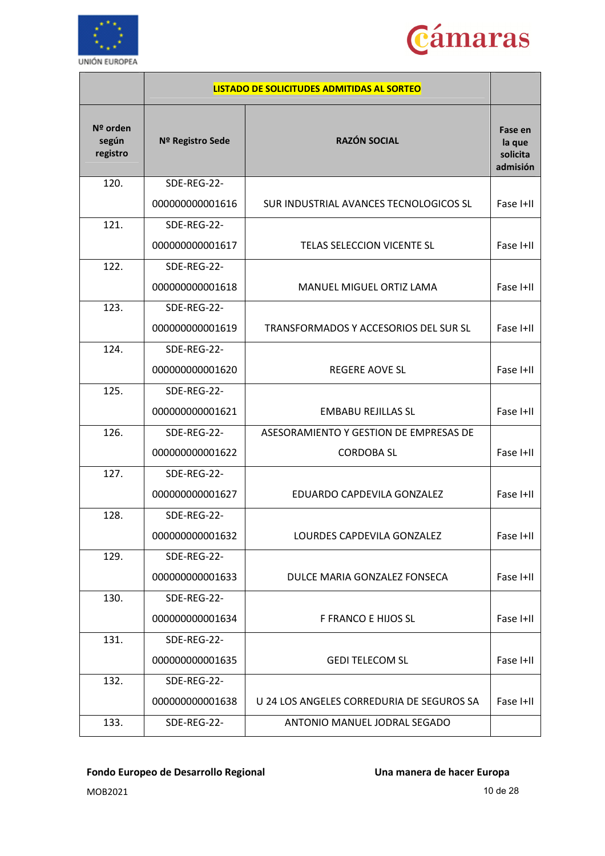



|                               |                  | LISTADO DE SOLICITUDES ADMITIDAS AL SORTEO |                                           |
|-------------------------------|------------------|--------------------------------------------|-------------------------------------------|
| Nº orden<br>según<br>registro | Nº Registro Sede | <b>RAZÓN SOCIAL</b>                        | Fase en<br>la que<br>solicita<br>admisión |
| 120.                          | SDE-REG-22-      |                                            |                                           |
|                               | 000000000001616  | SUR INDUSTRIAL AVANCES TECNOLOGICOS SL     | Fase I+II                                 |
| 121.                          | SDE-REG-22-      |                                            |                                           |
|                               | 000000000001617  | TELAS SELECCION VICENTE SL                 | Fase I+II                                 |
| 122.                          | SDE-REG-22-      |                                            |                                           |
|                               | 000000000001618  | MANUEL MIGUEL ORTIZ LAMA                   | Fase I+II                                 |
| 123.                          | SDE-REG-22-      |                                            |                                           |
|                               | 000000000001619  | TRANSFORMADOS Y ACCESORIOS DEL SUR SL      | Fase I+II                                 |
| 124.                          | SDE-REG-22-      |                                            |                                           |
|                               | 000000000001620  | <b>REGERE AOVE SL</b>                      | Fase I+II                                 |
| 125.                          | SDE-REG-22-      |                                            |                                           |
|                               | 000000000001621  | <b>EMBABU REJILLAS SL</b>                  | Fase I+II                                 |
| 126.                          | SDE-REG-22-      | ASESORAMIENTO Y GESTION DE EMPRESAS DE     |                                           |
|                               | 000000000001622  | <b>CORDOBA SL</b>                          | Fase I+II                                 |
| 127.                          | SDE-REG-22-      |                                            |                                           |
|                               | 000000000001627  | EDUARDO CAPDEVILA GONZALEZ                 | Fase I+II                                 |
| 128.                          | SDE-REG-22-      |                                            |                                           |
|                               | 000000000001632  | LOURDES CAPDEVILA GONZALEZ                 | Fase I+II                                 |
| 129.                          | SDE-REG-22-      |                                            |                                           |
|                               | 000000000001633  | DULCE MARIA GONZALEZ FONSECA               | Fase I+II                                 |
| 130.                          | SDE-REG-22-      |                                            |                                           |
|                               | 000000000001634  | F FRANCO E HIJOS SL                        | Fase I+II                                 |
| 131.                          | SDE-REG-22-      |                                            |                                           |
|                               | 000000000001635  | <b>GEDI TELECOM SL</b>                     | Fase I+II                                 |
| 132.                          | SDE-REG-22-      |                                            |                                           |
|                               | 000000000001638  | U 24 LOS ANGELES CORREDURIA DE SEGUROS SA  | Fase I+II                                 |
| 133.                          | SDE-REG-22-      | ANTONIO MANUEL JODRAL SEGADO               |                                           |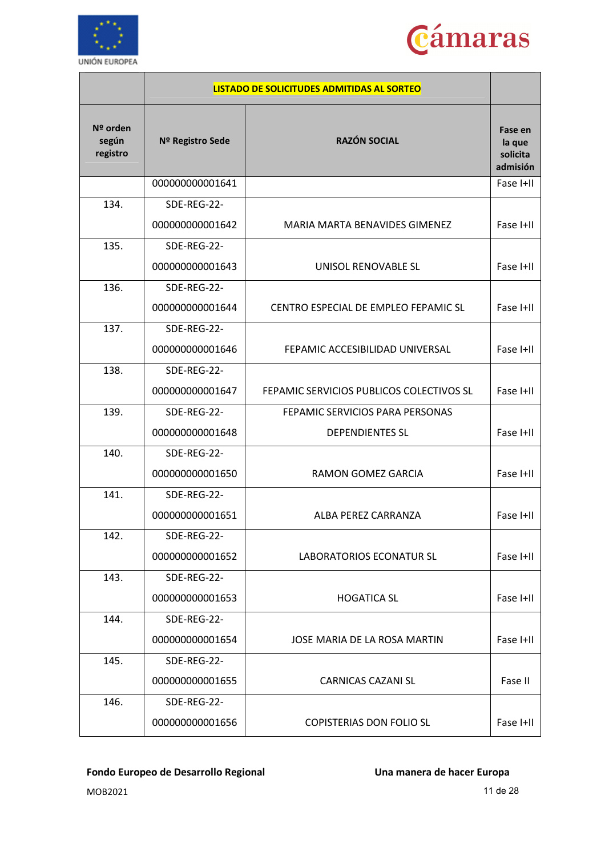



|                               |                  | LISTADO DE SOLICITUDES ADMITIDAS AL SORTEO |                                           |
|-------------------------------|------------------|--------------------------------------------|-------------------------------------------|
| Nº orden<br>según<br>registro | Nº Registro Sede | <b>RAZÓN SOCIAL</b>                        | Fase en<br>la que<br>solicita<br>admisión |
|                               | 000000000001641  |                                            | Fase I+II                                 |
| 134.                          | SDE-REG-22-      |                                            |                                           |
|                               | 000000000001642  | MARIA MARTA BENAVIDES GIMENEZ              | Fase I+II                                 |
| 135.                          | SDE-REG-22-      |                                            |                                           |
|                               | 000000000001643  | UNISOL RENOVABLE SL                        | Fase I+II                                 |
| 136.                          | SDE-REG-22-      |                                            |                                           |
|                               | 000000000001644  | CENTRO ESPECIAL DE EMPLEO FEPAMIC SL       | Fase I+II                                 |
| 137.                          | SDE-REG-22-      |                                            |                                           |
|                               | 000000000001646  | FEPAMIC ACCESIBILIDAD UNIVERSAL            | Fase I+II                                 |
| 138.                          | SDE-REG-22-      |                                            |                                           |
|                               | 000000000001647  | FEPAMIC SERVICIOS PUBLICOS COLECTIVOS SL   | Fase I+II                                 |
| 139.                          | SDE-REG-22-      | FEPAMIC SERVICIOS PARA PERSONAS            |                                           |
|                               | 000000000001648  | <b>DEPENDIENTES SL</b>                     | Fase I+II                                 |
| 140.                          | SDE-REG-22-      |                                            |                                           |
|                               | 000000000001650  | RAMON GOMEZ GARCIA                         | Fase I+II                                 |
| 141.                          | SDE-REG-22-      |                                            |                                           |
|                               | 000000000001651  | ALBA PEREZ CARRANZA                        | Fase I+II                                 |
| 142.                          | SDE-REG-22-      |                                            |                                           |
|                               | 000000000001652  | LABORATORIOS ECONATUR SL                   | Fase I+II                                 |
| 143.                          | SDE-REG-22-      |                                            |                                           |
|                               | 000000000001653  | <b>HOGATICA SL</b>                         | Fase I+II                                 |
| 144.                          | SDE-REG-22-      |                                            |                                           |
|                               | 000000000001654  | JOSE MARIA DE LA ROSA MARTIN               | Fase I+II                                 |
| 145.                          | SDE-REG-22-      |                                            |                                           |
|                               | 000000000001655  | <b>CARNICAS CAZANI SL</b>                  | Fase II                                   |
| 146.                          | SDE-REG-22-      |                                            |                                           |
|                               | 000000000001656  | <b>COPISTERIAS DON FOLIO SL</b>            | Fase I+II                                 |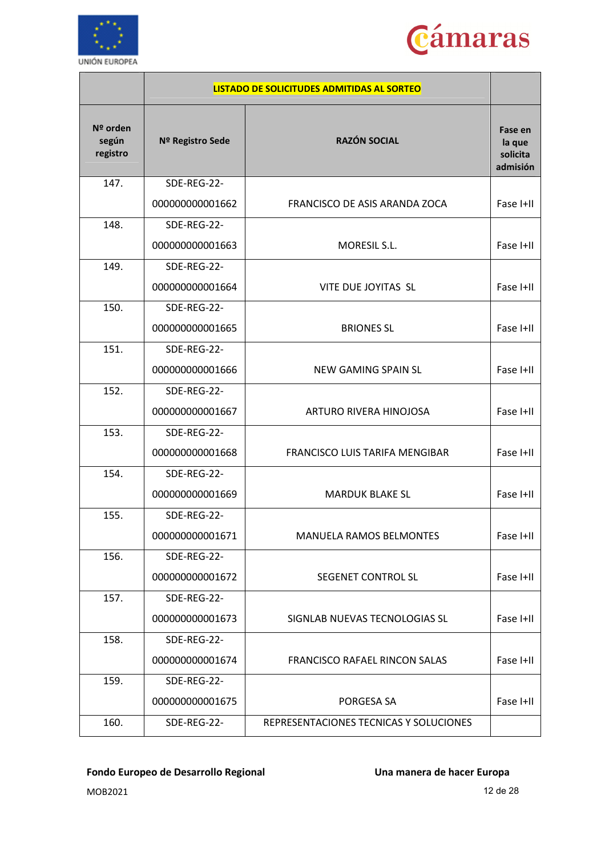



|                               |                  | <b>LISTADO DE SOLICITUDES ADMITIDAS AL SORTEO</b> |                                           |
|-------------------------------|------------------|---------------------------------------------------|-------------------------------------------|
| Nº orden<br>según<br>registro | Nº Registro Sede | <b>RAZÓN SOCIAL</b>                               | Fase en<br>la que<br>solicita<br>admisión |
| 147.                          | SDE-REG-22-      |                                                   |                                           |
|                               | 000000000001662  | FRANCISCO DE ASIS ARANDA ZOCA                     | Fase I+II                                 |
| 148.                          | SDE-REG-22-      |                                                   |                                           |
|                               | 000000000001663  | MORESIL S.L.                                      | Fase I+II                                 |
| 149.                          | SDE-REG-22-      |                                                   |                                           |
|                               | 000000000001664  | VITE DUE JOYITAS SL                               | Fase I+II                                 |
| 150.                          | SDE-REG-22-      |                                                   |                                           |
|                               | 000000000001665  | <b>BRIONES SL</b>                                 | Fase I+II                                 |
| 151.                          | SDE-REG-22-      |                                                   |                                           |
|                               | 000000000001666  | NEW GAMING SPAIN SL                               | Fase I+II                                 |
| 152.                          | SDE-REG-22-      |                                                   |                                           |
|                               | 000000000001667  | ARTURO RIVERA HINOJOSA                            | Fase I+II                                 |
| 153.                          | SDE-REG-22-      |                                                   |                                           |
|                               | 000000000001668  | FRANCISCO LUIS TARIFA MENGIBAR                    | Fase I+II                                 |
| 154.                          | SDE-REG-22-      |                                                   |                                           |
|                               | 000000000001669  | <b>MARDUK BLAKE SL</b>                            | Fase I+II                                 |
| 155.                          | SDE-REG-22-      |                                                   |                                           |
|                               | 000000000001671  | MANUELA RAMOS BELMONTES                           | Fase I+II                                 |
| 156.                          | SDE-REG-22-      |                                                   |                                           |
|                               | 000000000001672  | SEGENET CONTROL SL                                | Fase I+II                                 |
| 157.                          | SDE-REG-22-      |                                                   |                                           |
|                               | 000000000001673  | SIGNLAB NUEVAS TECNOLOGIAS SL                     | Fase I+II                                 |
| 158.                          | SDE-REG-22-      |                                                   |                                           |
|                               | 000000000001674  | FRANCISCO RAFAEL RINCON SALAS                     | Fase I+II                                 |
| 159.                          | SDE-REG-22-      |                                                   |                                           |
|                               | 000000000001675  | PORGESA SA                                        | Fase I+II                                 |
| 160.                          | SDE-REG-22-      | REPRESENTACIONES TECNICAS Y SOLUCIONES            |                                           |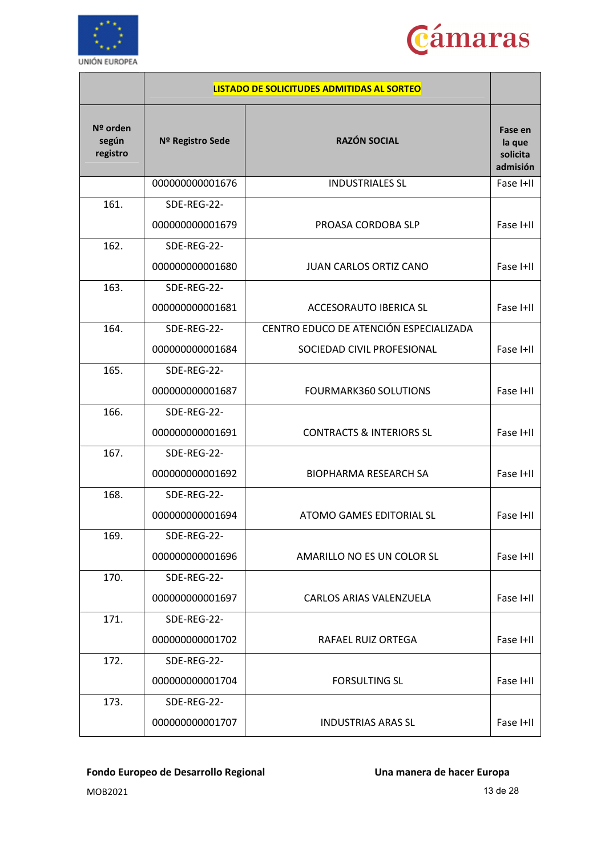



|                               |                  | LISTADO DE SOLICITUDES ADMITIDAS AL SORTEO |                                           |
|-------------------------------|------------------|--------------------------------------------|-------------------------------------------|
| Nº orden<br>según<br>registro | Nº Registro Sede | <b>RAZÓN SOCIAL</b>                        | Fase en<br>la que<br>solicita<br>admisión |
|                               | 000000000001676  | <b>INDUSTRIALES SL</b>                     | Fase I+II                                 |
| 161.                          | SDE-REG-22-      |                                            |                                           |
|                               | 000000000001679  | PROASA CORDOBA SLP                         | Fase I+II                                 |
| 162.                          | SDE-REG-22-      |                                            |                                           |
|                               | 000000000001680  | <b>JUAN CARLOS ORTIZ CANO</b>              | Fase I+II                                 |
| 163.                          | SDE-REG-22-      |                                            |                                           |
|                               | 000000000001681  | <b>ACCESORAUTO IBERICA SL</b>              | Fase I+II                                 |
| 164.                          | SDE-REG-22-      | CENTRO EDUCO DE ATENCIÓN ESPECIALIZADA     |                                           |
|                               | 000000000001684  | SOCIEDAD CIVIL PROFESIONAL                 | Fase I+II                                 |
| 165.                          | SDE-REG-22-      |                                            |                                           |
|                               | 000000000001687  | <b>FOURMARK360 SOLUTIONS</b>               | Fase I+II                                 |
| 166.                          | SDE-REG-22-      |                                            |                                           |
|                               | 000000000001691  | <b>CONTRACTS &amp; INTERIORS SL</b>        | Fase I+II                                 |
| 167.                          | SDE-REG-22-      |                                            |                                           |
|                               | 000000000001692  | <b>BIOPHARMA RESEARCH SA</b>               | Fase I+II                                 |
| 168.                          | SDE-REG-22-      |                                            |                                           |
|                               | 000000000001694  | ATOMO GAMES EDITORIAL SL                   | Fase I+II                                 |
| 169.                          | SDE-REG-22-      |                                            |                                           |
|                               | 000000000001696  | AMARILLO NO ES UN COLOR SL                 | Fase I+II                                 |
| 170.                          | SDE-REG-22-      |                                            |                                           |
|                               | 000000000001697  | CARLOS ARIAS VALENZUELA                    | Fase I+II                                 |
| 171.                          | SDE-REG-22-      |                                            |                                           |
|                               | 000000000001702  | <b>RAFAEL RUIZ ORTEGA</b>                  | Fase I+II                                 |
| 172.                          | SDE-REG-22-      |                                            |                                           |
|                               | 000000000001704  | <b>FORSULTING SL</b>                       | Fase I+II                                 |
| 173.                          | SDE-REG-22-      |                                            |                                           |
|                               | 000000000001707  | <b>INDUSTRIAS ARAS SL</b>                  | Fase I+II                                 |

MOB2021 13 de 28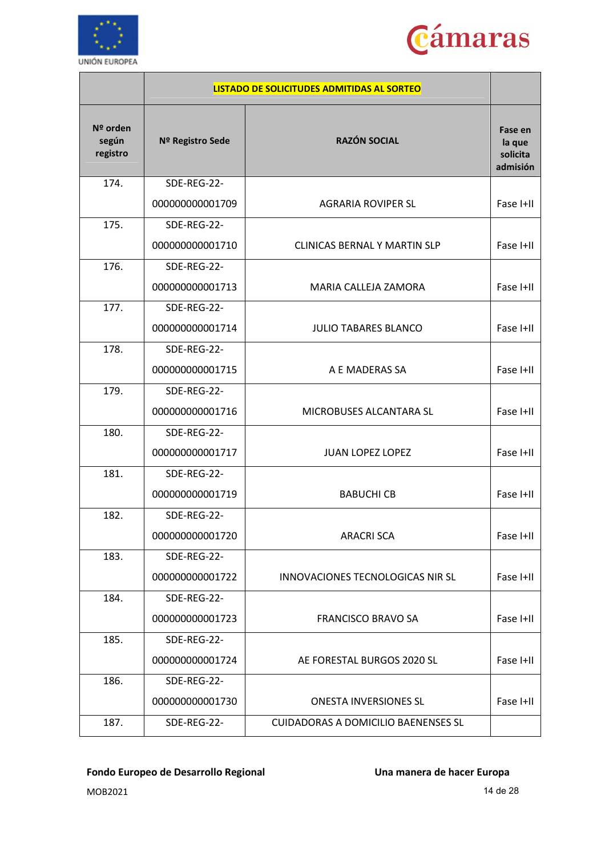



|                               |                  | LISTADO DE SOLICITUDES ADMITIDAS AL SORTEO |                                           |
|-------------------------------|------------------|--------------------------------------------|-------------------------------------------|
| Nº orden<br>según<br>registro | Nº Registro Sede | <b>RAZÓN SOCIAL</b>                        | Fase en<br>la que<br>solicita<br>admisión |
| 174.                          | SDE-REG-22-      |                                            |                                           |
|                               | 000000000001709  | <b>AGRARIA ROVIPER SL</b>                  | Fase I+II                                 |
| 175.                          | SDE-REG-22-      |                                            |                                           |
|                               | 000000000001710  | CLINICAS BERNAL Y MARTIN SLP               | Fase I+II                                 |
| 176.                          | SDE-REG-22-      |                                            |                                           |
|                               | 000000000001713  | MARIA CALLEJA ZAMORA                       | Fase I+II                                 |
| 177.                          | SDE-REG-22-      |                                            |                                           |
|                               | 000000000001714  | <b>JULIO TABARES BLANCO</b>                | Fase I+II                                 |
| 178.                          | SDE-REG-22-      |                                            |                                           |
|                               | 000000000001715  | A E MADERAS SA                             | Fase I+II                                 |
| 179.                          | SDE-REG-22-      |                                            |                                           |
|                               | 000000000001716  | MICROBUSES ALCANTARA SL                    | Fase I+II                                 |
| 180.                          | SDE-REG-22-      |                                            |                                           |
|                               | 000000000001717  | <b>JUAN LOPEZ LOPEZ</b>                    | Fase I+II                                 |
| 181.                          | SDE-REG-22-      |                                            |                                           |
|                               | 000000000001719  | <b>BABUCHI CB</b>                          | Fase I+II                                 |
| 182.                          | SDE-REG-22-      |                                            |                                           |
|                               | 000000000001720  | <b>ARACRI SCA</b>                          | Fase I+II                                 |
| 183.                          | SDE-REG-22-      |                                            |                                           |
|                               | 000000000001722  | INNOVACIONES TECNOLOGICAS NIR SL           | Fase I+II                                 |
| 184.                          | SDE-REG-22-      |                                            |                                           |
|                               | 000000000001723  | <b>FRANCISCO BRAVO SA</b>                  | Fase I+II                                 |
| 185.                          | SDE-REG-22-      |                                            |                                           |
|                               | 000000000001724  | AE FORESTAL BURGOS 2020 SL                 | Fase I+II                                 |
| 186.                          | SDE-REG-22-      |                                            |                                           |
|                               | 000000000001730  | <b>ONESTA INVERSIONES SL</b>               | Fase I+II                                 |
| 187.                          | SDE-REG-22-      | <b>CUIDADORAS A DOMICILIO BAENENSES SL</b> |                                           |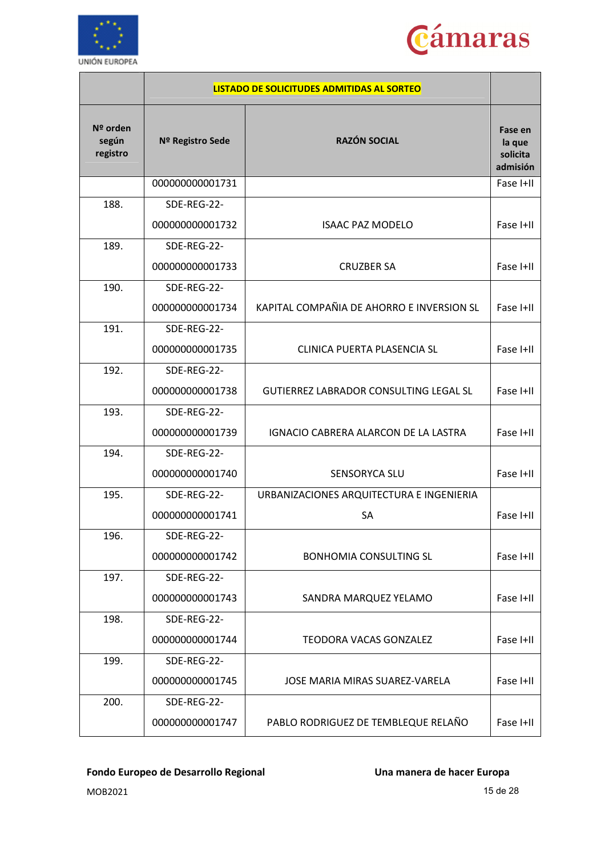



|                               |                  | LISTADO DE SOLICITUDES ADMITIDAS AL SORTEO    |                                           |
|-------------------------------|------------------|-----------------------------------------------|-------------------------------------------|
| Nº orden<br>según<br>registro | Nº Registro Sede | <b>RAZÓN SOCIAL</b>                           | Fase en<br>la que<br>solicita<br>admisión |
|                               | 000000000001731  |                                               | Fase I+II                                 |
| 188.                          | SDE-REG-22-      |                                               |                                           |
|                               | 000000000001732  | <b>ISAAC PAZ MODELO</b>                       | Fase I+II                                 |
| 189.                          | SDE-REG-22-      |                                               |                                           |
|                               | 000000000001733  | <b>CRUZBER SA</b>                             | Fase I+II                                 |
| 190.                          | SDE-REG-22-      |                                               |                                           |
|                               | 000000000001734  | KAPITAL COMPAÑIA DE AHORRO E INVERSION SL     | Fase I+II                                 |
| 191.                          | SDE-REG-22-      |                                               |                                           |
|                               | 000000000001735  | CLINICA PUERTA PLASENCIA SL                   | Fase I+II                                 |
| 192.                          | SDE-REG-22-      |                                               |                                           |
|                               | 000000000001738  | <b>GUTIERREZ LABRADOR CONSULTING LEGAL SL</b> | Fase I+II                                 |
| 193.                          | SDE-REG-22-      |                                               |                                           |
|                               | 000000000001739  | IGNACIO CABRERA ALARCON DE LA LASTRA          | Fase I+II                                 |
| 194.                          | SDE-REG-22-      |                                               |                                           |
|                               | 000000000001740  | SENSORYCA SLU                                 | Fase I+II                                 |
| 195.                          | SDE-REG-22-      | URBANIZACIONES ARQUITECTURA E INGENIERIA      |                                           |
|                               | 000000000001741  | SA                                            | Fase I+II                                 |
| 196.                          | SDE-REG-22-      |                                               |                                           |
|                               | 000000000001742  | <b>BONHOMIA CONSULTING SL</b>                 | Fase I+II                                 |
| 197.                          | SDE-REG-22-      |                                               |                                           |
|                               | 000000000001743  | SANDRA MARQUEZ YELAMO                         | Fase I+II                                 |
| 198.                          | SDE-REG-22-      |                                               |                                           |
|                               | 000000000001744  | <b>TEODORA VACAS GONZALEZ</b>                 | Fase I+II                                 |
| 199.                          | SDE-REG-22-      |                                               |                                           |
|                               | 000000000001745  | JOSE MARIA MIRAS SUAREZ-VARELA                | Fase I+II                                 |
| 200.                          | SDE-REG-22-      |                                               |                                           |
|                               | 000000000001747  | PABLO RODRIGUEZ DE TEMBLEQUE RELAÑO           | Fase I+II                                 |

MOB2021 15 de 28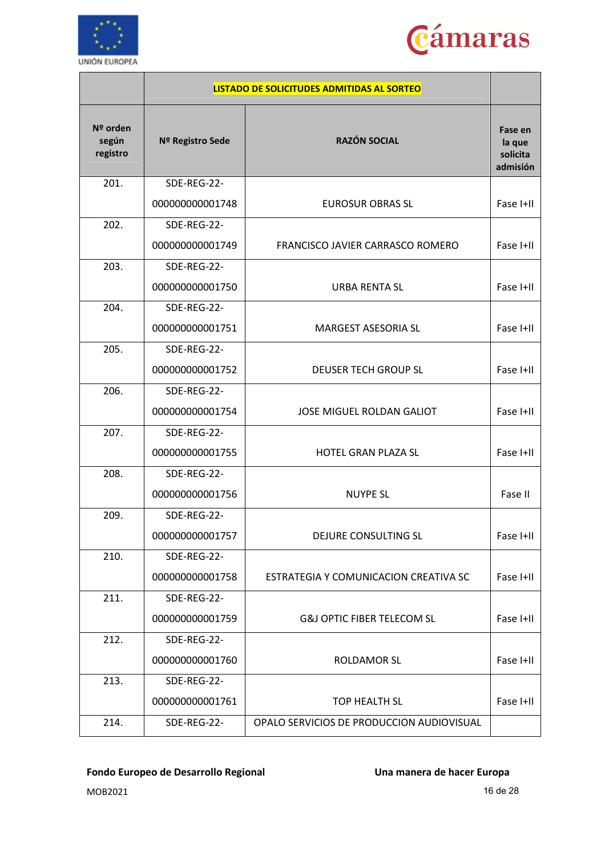



|                               |                  | <b>LISTADO DE SOLICITUDES ADMITIDAS AL SORTEO</b> |                                           |
|-------------------------------|------------------|---------------------------------------------------|-------------------------------------------|
| Nº orden<br>según<br>registro | Nº Registro Sede | <b>RAZÓN SOCIAL</b>                               | Fase en<br>la que<br>solicita<br>admisión |
| 201.                          | SDE-REG-22-      |                                                   |                                           |
|                               | 000000000001748  | <b>EUROSUR OBRAS SL</b>                           | Fase I+II                                 |
| 202.                          | SDE-REG-22-      |                                                   |                                           |
|                               | 000000000001749  | FRANCISCO JAVIER CARRASCO ROMERO                  | Fase I+II                                 |
| 203.                          | SDE-REG-22-      |                                                   |                                           |
|                               | 000000000001750  | <b>URBA RENTA SL</b>                              | Fase I+II                                 |
| 204.                          | SDE-REG-22-      |                                                   |                                           |
|                               | 000000000001751  | <b>MARGEST ASESORIA SL</b>                        | Fase I+II                                 |
| 205.                          | SDE-REG-22-      |                                                   |                                           |
|                               | 000000000001752  | DEUSER TECH GROUP SL                              | Fase I+II                                 |
| 206.                          | SDE-REG-22-      |                                                   |                                           |
|                               | 000000000001754  | <b>JOSE MIGUEL ROLDAN GALIOT</b>                  | Fase I+II                                 |
| 207.                          | SDE-REG-22-      |                                                   |                                           |
|                               | 000000000001755  | <b>HOTEL GRAN PLAZA SL</b>                        | Fase I+II                                 |
| 208.                          | SDE-REG-22-      |                                                   |                                           |
|                               | 000000000001756  | <b>NUYPE SL</b>                                   | Fase II                                   |
| 209.                          | SDE-REG-22-      |                                                   |                                           |
|                               | 000000000001757  | DEJURE CONSULTING SL                              | Fase I+II                                 |
| 210.                          | SDE-REG-22-      |                                                   |                                           |
|                               | 000000000001758  | ESTRATEGIA Y COMUNICACION CREATIVA SC             | Fase I+II                                 |
| 211.                          | SDE-REG-22-      |                                                   |                                           |
|                               | 000000000001759  | <b>G&amp;J OPTIC FIBER TELECOM SL</b>             | Fase I+II                                 |
| 212.                          | SDE-REG-22-      |                                                   |                                           |
|                               | 000000000001760  | <b>ROLDAMOR SL</b>                                | Fase I+II                                 |
| 213.                          | SDE-REG-22-      |                                                   |                                           |
|                               | 000000000001761  | TOP HEALTH SL                                     | Fase I+II                                 |
| 214.                          | SDE-REG-22-      | OPALO SERVICIOS DE PRODUCCION AUDIOVISUAL         |                                           |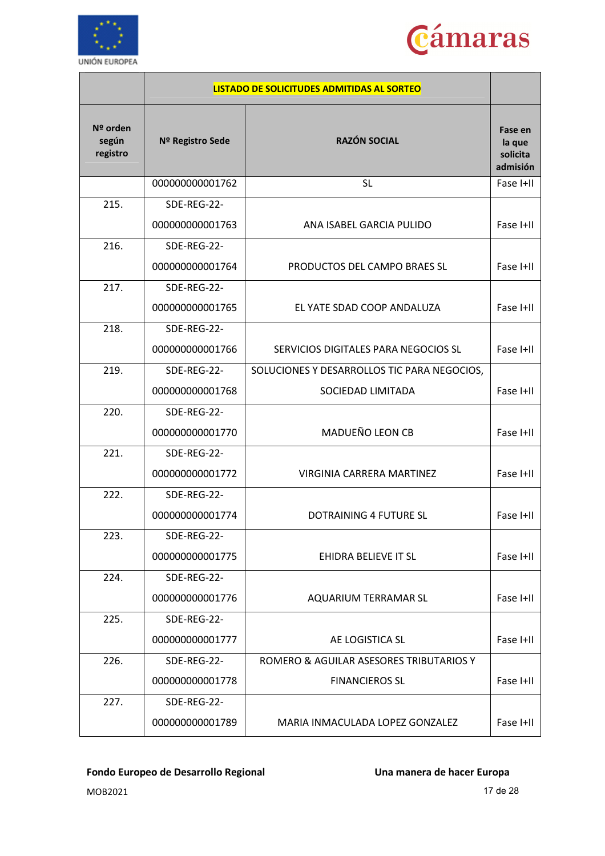



|                               |                  | LISTADO DE SOLICITUDES ADMITIDAS AL SORTEO  |                                           |
|-------------------------------|------------------|---------------------------------------------|-------------------------------------------|
| Nº orden<br>según<br>registro | Nº Registro Sede | <b>RAZÓN SOCIAL</b>                         | Fase en<br>la que<br>solicita<br>admisión |
|                               | 000000000001762  | <b>SL</b>                                   | Fase I+II                                 |
| 215.                          | SDE-REG-22-      |                                             |                                           |
|                               | 000000000001763  | ANA ISABEL GARCIA PULIDO                    | Fase I+II                                 |
| 216.                          | SDE-REG-22-      |                                             |                                           |
|                               | 000000000001764  | PRODUCTOS DEL CAMPO BRAES SL                | Fase I+II                                 |
| 217.                          | SDE-REG-22-      |                                             |                                           |
|                               | 000000000001765  | EL YATE SDAD COOP ANDALUZA                  | Fase I+II                                 |
| 218.                          | SDE-REG-22-      |                                             |                                           |
|                               | 000000000001766  | SERVICIOS DIGITALES PARA NEGOCIOS SL        | Fase I+II                                 |
| 219.                          | SDE-REG-22-      | SOLUCIONES Y DESARROLLOS TIC PARA NEGOCIOS, |                                           |
|                               | 000000000001768  | SOCIEDAD LIMITADA                           | Fase I+II                                 |
| 220.                          | SDE-REG-22-      |                                             |                                           |
|                               | 000000000001770  | MADUEÑO LEON CB                             | Fase I+II                                 |
| 221.                          | SDE-REG-22-      |                                             |                                           |
|                               | 000000000001772  | VIRGINIA CARRERA MARTINEZ                   | Fase I+II                                 |
| 222.                          | SDE-REG-22-      |                                             |                                           |
|                               | 000000000001774  | <b>DOTRAINING 4 FUTURE SL</b>               | Fase I+II                                 |
| 223.                          | SDE-REG-22-      |                                             |                                           |
|                               | 000000000001775  | EHIDRA BELIEVE IT SL                        | Fase I+II                                 |
| 224.                          | SDE-REG-22-      |                                             |                                           |
|                               | 000000000001776  | AQUARIUM TERRAMAR SL                        | Fase I+II                                 |
| 225.                          | SDE-REG-22-      |                                             |                                           |
|                               | 000000000001777  | AE LOGISTICA SL                             | Fase I+II                                 |
| 226.                          | SDE-REG-22-      | ROMERO & AGUILAR ASESORES TRIBUTARIOS Y     |                                           |
|                               | 000000000001778  | <b>FINANCIEROS SL</b>                       | Fase I+II                                 |
| 227.                          | SDE-REG-22-      |                                             |                                           |
|                               | 000000000001789  | MARIA INMACULADA LOPEZ GONZALEZ             | Fase I+II                                 |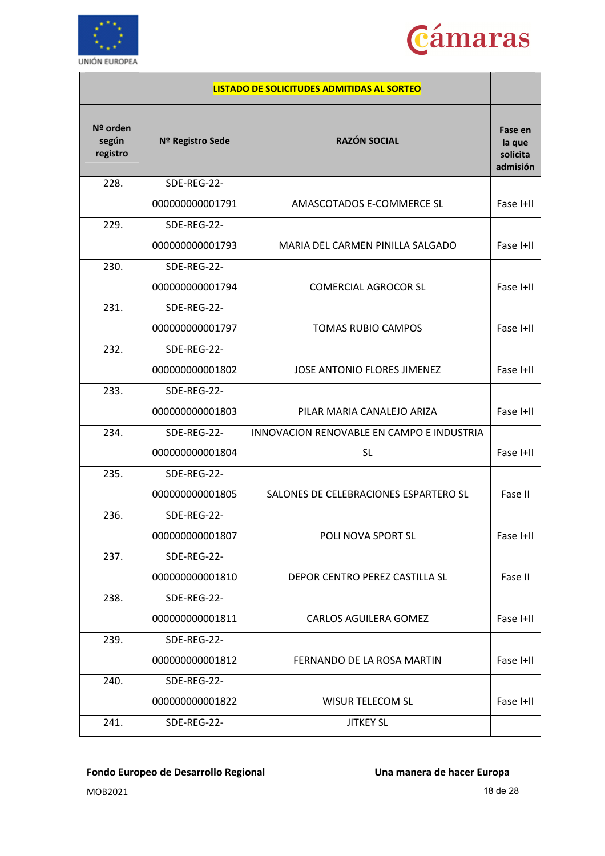



|                               |                  | <b>LISTADO DE SOLICITUDES ADMITIDAS AL SORTEO</b> |                                           |
|-------------------------------|------------------|---------------------------------------------------|-------------------------------------------|
| Nº orden<br>según<br>registro | Nº Registro Sede | <b>RAZÓN SOCIAL</b>                               | Fase en<br>la que<br>solicita<br>admisión |
| 228.                          | SDE-REG-22-      |                                                   |                                           |
|                               | 000000000001791  | AMASCOTADOS E-COMMERCE SL                         | Fase I+II                                 |
| 229.                          | SDE-REG-22-      |                                                   |                                           |
|                               | 000000000001793  | MARIA DEL CARMEN PINILLA SALGADO                  | Fase I+II                                 |
| 230.                          | SDE-REG-22-      |                                                   |                                           |
|                               | 000000000001794  | <b>COMERCIAL AGROCOR SL</b>                       | Fase I+II                                 |
| 231.                          | SDE-REG-22-      |                                                   |                                           |
|                               | 000000000001797  | <b>TOMAS RUBIO CAMPOS</b>                         | Fase I+II                                 |
| 232.                          | SDE-REG-22-      |                                                   |                                           |
|                               | 000000000001802  | JOSE ANTONIO FLORES JIMENEZ                       | Fase I+II                                 |
| 233.                          | SDE-REG-22-      |                                                   |                                           |
|                               | 000000000001803  | PILAR MARIA CANALEJO ARIZA                        | Fase I+II                                 |
| 234.                          | SDE-REG-22-      | INNOVACION RENOVABLE EN CAMPO E INDUSTRIA         |                                           |
|                               | 000000000001804  | <b>SL</b>                                         | Fase I+II                                 |
| 235.                          | SDE-REG-22-      |                                                   |                                           |
|                               | 000000000001805  | SALONES DE CELEBRACIONES ESPARTERO SL             | Fase II                                   |
| 236.                          | SDE-REG-22-      |                                                   |                                           |
|                               | 000000000001807  | POLI NOVA SPORT SL                                | Fase I+II                                 |
| 237.                          | SDE-REG-22-      |                                                   |                                           |
|                               | 000000000001810  | DEPOR CENTRO PEREZ CASTILLA SL                    | Fase II                                   |
| 238.                          | SDE-REG-22-      |                                                   |                                           |
|                               | 000000000001811  | <b>CARLOS AGUILERA GOMEZ</b>                      | Fase I+II                                 |
| 239.                          | SDE-REG-22-      |                                                   |                                           |
|                               | 000000000001812  | FERNANDO DE LA ROSA MARTIN                        | Fase I+II                                 |
| 240.                          | SDE-REG-22-      |                                                   |                                           |
|                               | 000000000001822  | <b>WISUR TELECOM SL</b>                           | Fase I+II                                 |
| 241.                          | SDE-REG-22-      | <b>JITKEY SL</b>                                  |                                           |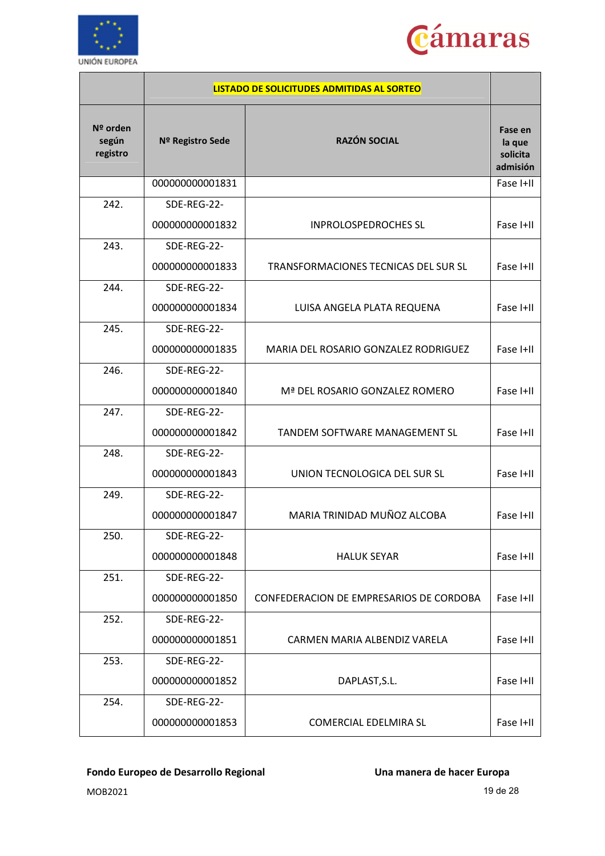



|                               |                  | <b>LISTADO DE SOLICITUDES ADMITIDAS AL SORTEO</b> |                                           |
|-------------------------------|------------------|---------------------------------------------------|-------------------------------------------|
| Nº orden<br>según<br>registro | Nº Registro Sede | <b>RAZÓN SOCIAL</b>                               | Fase en<br>la que<br>solicita<br>admisión |
|                               | 000000000001831  |                                                   | Fase I+II                                 |
| 242.                          | SDE-REG-22-      |                                                   |                                           |
|                               | 000000000001832  | <b>INPROLOSPEDROCHES SL</b>                       | Fase I+II                                 |
| 243.                          | SDE-REG-22-      |                                                   |                                           |
|                               | 000000000001833  | TRANSFORMACIONES TECNICAS DEL SUR SL              | Fase I+II                                 |
| 244.                          | SDE-REG-22-      |                                                   |                                           |
|                               | 000000000001834  | LUISA ANGELA PLATA REQUENA                        | Fase I+II                                 |
| 245.                          | SDE-REG-22-      |                                                   |                                           |
|                               | 000000000001835  | MARIA DEL ROSARIO GONZALEZ RODRIGUEZ              | Fase I+II                                 |
| 246.                          | SDE-REG-22-      |                                                   |                                           |
|                               | 000000000001840  | Mª DEL ROSARIO GONZALEZ ROMERO                    | Fase I+II                                 |
| 247.                          | SDE-REG-22-      |                                                   |                                           |
|                               | 000000000001842  | <b>TANDEM SOFTWARE MANAGEMENT SL</b>              | Fase I+II                                 |
| 248.                          | SDE-REG-22-      |                                                   |                                           |
|                               | 000000000001843  | UNION TECNOLOGICA DEL SUR SL                      | Fase I+II                                 |
| 249.                          | SDE-REG-22-      |                                                   |                                           |
|                               | 000000000001847  | MARIA TRINIDAD MUÑOZ ALCOBA                       | Fase I+II                                 |
| 250.                          | SDE-REG-22-      |                                                   |                                           |
|                               | 000000000001848  | <b>HALUK SEYAR</b>                                | Fase I+II                                 |
| 251.                          | SDE-REG-22-      |                                                   |                                           |
|                               | 000000000001850  | CONFEDERACION DE EMPRESARIOS DE CORDOBA           | Fase I+II                                 |
| 252.                          | SDE-REG-22-      |                                                   |                                           |
|                               | 000000000001851  | CARMEN MARIA ALBENDIZ VARELA                      | Fase I+II                                 |
| 253.                          | SDE-REG-22-      |                                                   |                                           |
|                               | 000000000001852  | DAPLAST, S.L.                                     | Fase I+II                                 |
| 254.                          | SDE-REG-22-      |                                                   |                                           |
|                               | 000000000001853  | <b>COMERCIAL EDELMIRA SL</b>                      | Fase I+II                                 |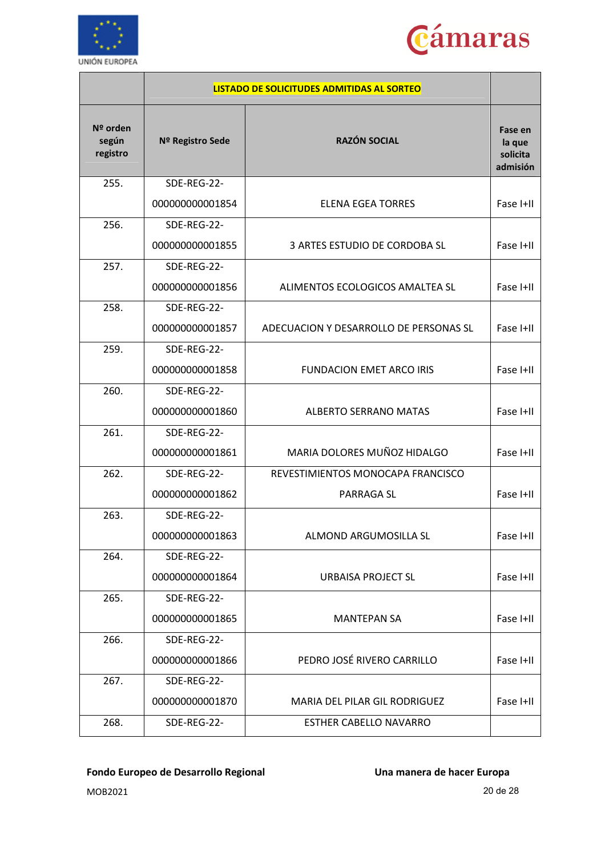



|                               |                  | <b>LISTADO DE SOLICITUDES ADMITIDAS AL SORTEO</b> |                                           |
|-------------------------------|------------------|---------------------------------------------------|-------------------------------------------|
| Nº orden<br>según<br>registro | Nº Registro Sede | <b>RAZÓN SOCIAL</b>                               | Fase en<br>la que<br>solicita<br>admisión |
| 255.                          | SDE-REG-22-      |                                                   |                                           |
|                               | 000000000001854  | <b>ELENA EGEA TORRES</b>                          | Fase I+II                                 |
| 256.                          | SDE-REG-22-      |                                                   |                                           |
|                               | 000000000001855  | 3 ARTES ESTUDIO DE CORDOBA SL                     | Fase I+II                                 |
| 257.                          | SDE-REG-22-      |                                                   |                                           |
|                               | 000000000001856  | ALIMENTOS ECOLOGICOS AMALTEA SL                   | Fase I+II                                 |
| 258.                          | SDE-REG-22-      |                                                   |                                           |
|                               | 000000000001857  | ADECUACION Y DESARROLLO DE PERSONAS SL            | Fase I+II                                 |
| 259.                          | SDE-REG-22-      |                                                   |                                           |
|                               | 000000000001858  | <b>FUNDACION EMET ARCO IRIS</b>                   | Fase I+II                                 |
| 260.                          | SDE-REG-22-      |                                                   |                                           |
|                               | 000000000001860  | <b>ALBERTO SERRANO MATAS</b>                      | Fase I+II                                 |
| 261.                          | SDE-REG-22-      |                                                   |                                           |
|                               | 000000000001861  | MARIA DOLORES MUÑOZ HIDALGO                       | Fase I+II                                 |
| 262.                          | SDE-REG-22-      | REVESTIMIENTOS MONOCAPA FRANCISCO                 |                                           |
|                               | 000000000001862  | PARRAGA SL                                        | Fase I+II                                 |
| 263.                          | SDE-REG-22-      |                                                   |                                           |
|                               | 000000000001863  | ALMOND ARGUMOSILLA SL                             | Fase I+II                                 |
| 264.                          | SDE-REG-22-      |                                                   |                                           |
|                               | 000000000001864  | URBAISA PROJECT SL                                | Fase I+II                                 |
| 265.                          | SDE-REG-22-      |                                                   |                                           |
|                               | 000000000001865  | <b>MANTEPAN SA</b>                                | Fase I+II                                 |
| 266.                          | SDE-REG-22-      |                                                   |                                           |
|                               | 000000000001866  | PEDRO JOSÉ RIVERO CARRILLO                        | Fase I+II                                 |
| 267.                          | SDE-REG-22-      |                                                   |                                           |
|                               | 000000000001870  | MARIA DEL PILAR GIL RODRIGUEZ                     | Fase I+II                                 |
| 268.                          | SDE-REG-22-      | <b>ESTHER CABELLO NAVARRO</b>                     |                                           |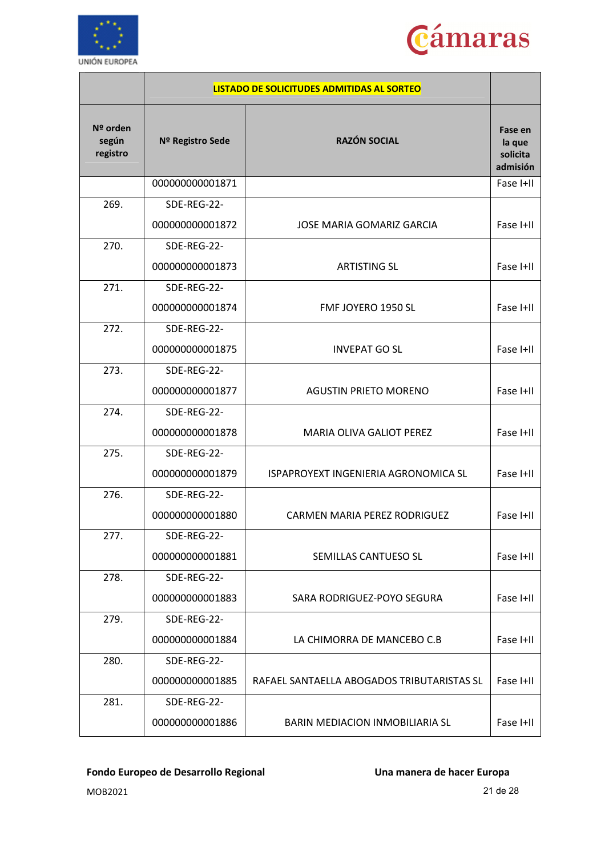



|                               |                  | <b>LISTADO DE SOLICITUDES ADMITIDAS AL SORTEO</b> |                                           |
|-------------------------------|------------------|---------------------------------------------------|-------------------------------------------|
| Nº orden<br>según<br>registro | Nº Registro Sede | <b>RAZÓN SOCIAL</b>                               | Fase en<br>la que<br>solicita<br>admisión |
|                               | 000000000001871  |                                                   | Fase I+II                                 |
| 269.                          | SDE-REG-22-      |                                                   |                                           |
|                               | 000000000001872  | <b>JOSE MARIA GOMARIZ GARCIA</b>                  | Fase I+II                                 |
| 270.                          | SDE-REG-22-      |                                                   |                                           |
|                               | 000000000001873  | <b>ARTISTING SL</b>                               | Fase I+II                                 |
| 271.                          | SDE-REG-22-      |                                                   |                                           |
|                               | 000000000001874  | FMF JOYERO 1950 SL                                | Fase I+II                                 |
| 272.                          | SDE-REG-22-      |                                                   |                                           |
|                               | 000000000001875  | <b>INVEPAT GO SL</b>                              | Fase I+II                                 |
| 273.                          | SDE-REG-22-      |                                                   |                                           |
|                               | 000000000001877  | <b>AGUSTIN PRIETO MORENO</b>                      | Fase I+II                                 |
| 274.                          | SDE-REG-22-      |                                                   |                                           |
|                               | 000000000001878  | <b>MARIA OLIVA GALIOT PEREZ</b>                   | Fase I+II                                 |
| 275.                          | SDE-REG-22-      |                                                   |                                           |
|                               | 000000000001879  | ISPAPROYEXT INGENIERIA AGRONOMICA SL              | Fase I+II                                 |
| 276.                          | SDE-REG-22-      |                                                   |                                           |
|                               | 000000000001880  | <b>CARMEN MARIA PEREZ RODRIGUEZ</b>               | Fase I+II                                 |
| 277.                          | SDE-REG-22-      |                                                   |                                           |
|                               | 000000000001881  | SEMILLAS CANTUESO SL                              | Fase I+II                                 |
| 278.                          | SDE-REG-22-      |                                                   |                                           |
|                               | 000000000001883  | SARA RODRIGUEZ-POYO SEGURA                        | Fase I+II                                 |
| 279.                          | SDE-REG-22-      |                                                   |                                           |
|                               | 000000000001884  | LA CHIMORRA DE MANCEBO C.B                        | Fase I+II                                 |
| 280.                          | SDE-REG-22-      |                                                   |                                           |
|                               | 000000000001885  | RAFAEL SANTAELLA ABOGADOS TRIBUTARISTAS SL        | Fase I+II                                 |
| 281.                          | SDE-REG-22-      |                                                   |                                           |
|                               | 000000000001886  | BARIN MEDIACION INMOBILIARIA SL                   | Fase I+II                                 |

MOB2021 21 de 28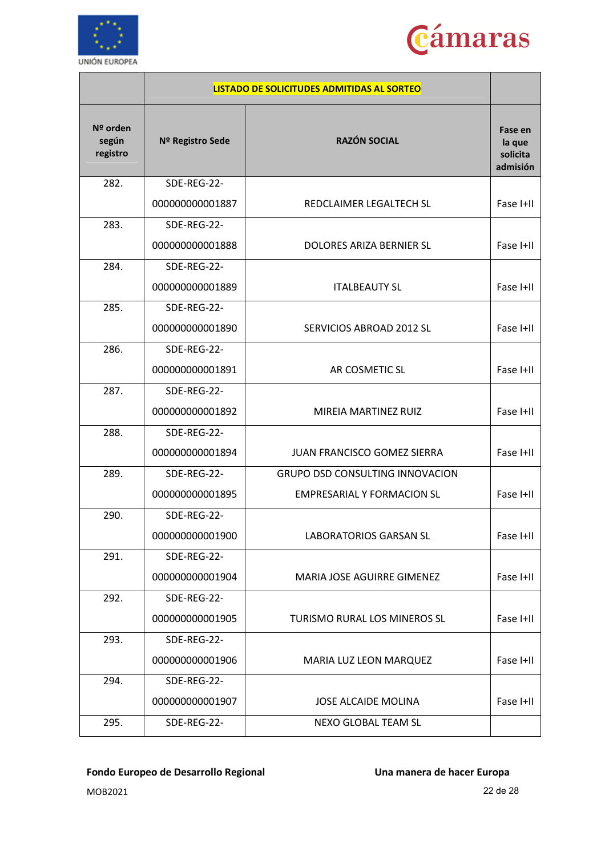



|                               |                  | <b>LISTADO DE SOLICITUDES ADMITIDAS AL SORTEO</b> |                                           |
|-------------------------------|------------------|---------------------------------------------------|-------------------------------------------|
| Nº orden<br>según<br>registro | Nº Registro Sede | <b>RAZÓN SOCIAL</b>                               | Fase en<br>la que<br>solicita<br>admisión |
| 282.                          | SDE-REG-22-      |                                                   |                                           |
|                               | 000000000001887  | REDCLAIMER LEGALTECH SL                           | Fase I+II                                 |
| 283.                          | SDE-REG-22-      |                                                   |                                           |
|                               | 000000000001888  | DOLORES ARIZA BERNIER SL                          | Fase I+II                                 |
| 284.                          | SDE-REG-22-      |                                                   |                                           |
|                               | 000000000001889  | <b>ITALBEAUTY SL</b>                              | Fase I+II                                 |
| 285.                          | SDE-REG-22-      |                                                   |                                           |
|                               | 000000000001890  | SERVICIOS ABROAD 2012 SL                          | Fase I+II                                 |
| 286.                          | SDE-REG-22-      |                                                   |                                           |
|                               | 000000000001891  | AR COSMETIC SL                                    | Fase I+II                                 |
| 287.                          | SDE-REG-22-      |                                                   |                                           |
|                               | 000000000001892  | MIREIA MARTINEZ RUIZ                              | Fase I+II                                 |
| 288.                          | SDE-REG-22-      |                                                   |                                           |
|                               | 000000000001894  | <b>JUAN FRANCISCO GOMEZ SIERRA</b>                | Fase I+II                                 |
| 289.                          | SDE-REG-22-      | <b>GRUPO DSD CONSULTING INNOVACION</b>            |                                           |
|                               | 000000000001895  | <b>EMPRESARIAL Y FORMACION SL</b>                 | Fase I+II                                 |
| 290.                          | SDE-REG-22-      |                                                   |                                           |
|                               | 000000000001900  | <b>LABORATORIOS GARSAN SL</b>                     | Fase I+II                                 |
| 291.                          | SDE-REG-22-      |                                                   |                                           |
|                               | 000000000001904  | MARIA JOSE AGUIRRE GIMENEZ                        | Fase I+II                                 |
| 292.                          | SDE-REG-22-      |                                                   |                                           |
|                               | 000000000001905  | TURISMO RURAL LOS MINEROS SL                      | Fase I+II                                 |
| 293.                          | SDE-REG-22-      |                                                   |                                           |
|                               | 000000000001906  | MARIA LUZ LEON MARQUEZ                            | Fase I+II                                 |
| 294.                          | SDE-REG-22-      |                                                   |                                           |
|                               | 000000000001907  | JOSE ALCAIDE MOLINA                               | Fase I+II                                 |
| 295.                          | SDE-REG-22-      | NEXO GLOBAL TEAM SL                               |                                           |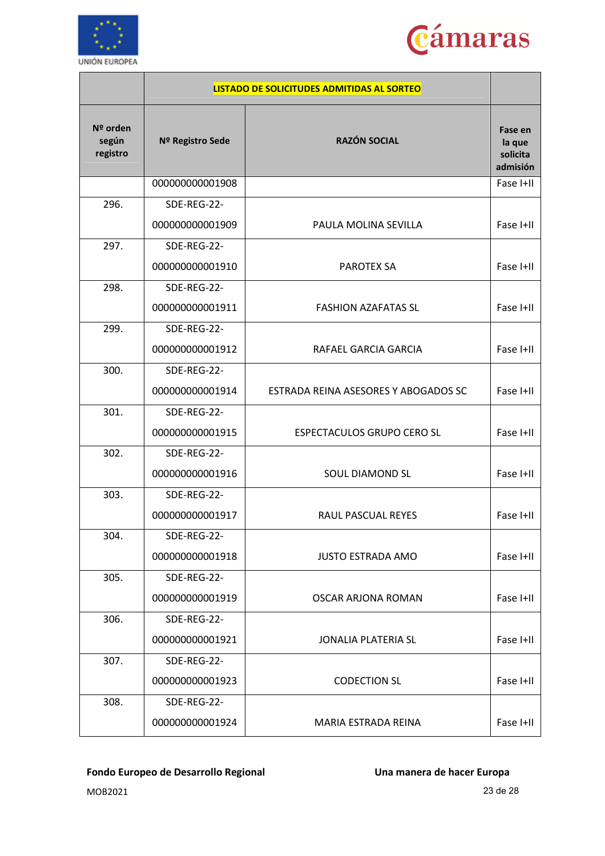



|                               |                  | <b>LISTADO DE SOLICITUDES ADMITIDAS AL SORTEO</b> |                                           |
|-------------------------------|------------------|---------------------------------------------------|-------------------------------------------|
| Nº orden<br>según<br>registro | Nº Registro Sede | <b>RAZÓN SOCIAL</b>                               | Fase en<br>la que<br>solicita<br>admisión |
|                               | 000000000001908  |                                                   | Fase I+II                                 |
| 296.                          | SDE-REG-22-      |                                                   |                                           |
|                               | 000000000001909  | PAULA MOLINA SEVILLA                              | Fase I+II                                 |
| 297.                          | SDE-REG-22-      |                                                   |                                           |
|                               | 000000000001910  | <b>PAROTEX SA</b>                                 | Fase I+II                                 |
| 298.                          | SDE-REG-22-      |                                                   |                                           |
|                               | 000000000001911  | <b>FASHION AZAFATAS SL</b>                        | Fase I+II                                 |
| 299.                          | SDE-REG-22-      |                                                   |                                           |
|                               | 000000000001912  | RAFAEL GARCIA GARCIA                              | Fase I+II                                 |
| 300.                          | SDE-REG-22-      |                                                   |                                           |
|                               | 000000000001914  | ESTRADA REINA ASESORES Y ABOGADOS SC              | Fase I+II                                 |
| 301.                          | SDE-REG-22-      |                                                   |                                           |
|                               | 000000000001915  | ESPECTACULOS GRUPO CERO SL                        | Fase I+II                                 |
| 302.                          | SDE-REG-22-      |                                                   |                                           |
|                               | 000000000001916  | <b>SOUL DIAMOND SL</b>                            | Fase I+II                                 |
| 303.                          | SDE-REG-22-      |                                                   |                                           |
|                               | 000000000001917  | RAUL PASCUAL REYES                                | Fase I+II                                 |
| 304.                          | SDE-REG-22-      |                                                   |                                           |
|                               | 000000000001918  | <b>JUSTO ESTRADA AMO</b>                          | Fase I+II                                 |
| 305.                          | SDE-REG-22-      |                                                   |                                           |
|                               | 000000000001919  | <b>OSCAR ARJONA ROMAN</b>                         | Fase I+II                                 |
| 306.                          | SDE-REG-22-      |                                                   |                                           |
|                               | 000000000001921  | <b>JONALIA PLATERIA SL</b>                        | Fase I+II                                 |
| 307.                          | SDE-REG-22-      |                                                   |                                           |
|                               | 000000000001923  | <b>CODECTION SL</b>                               | Fase I+II                                 |
| 308.                          | SDE-REG-22-      |                                                   |                                           |
|                               | 000000000001924  | MARIA ESTRADA REINA                               | Fase I+II                                 |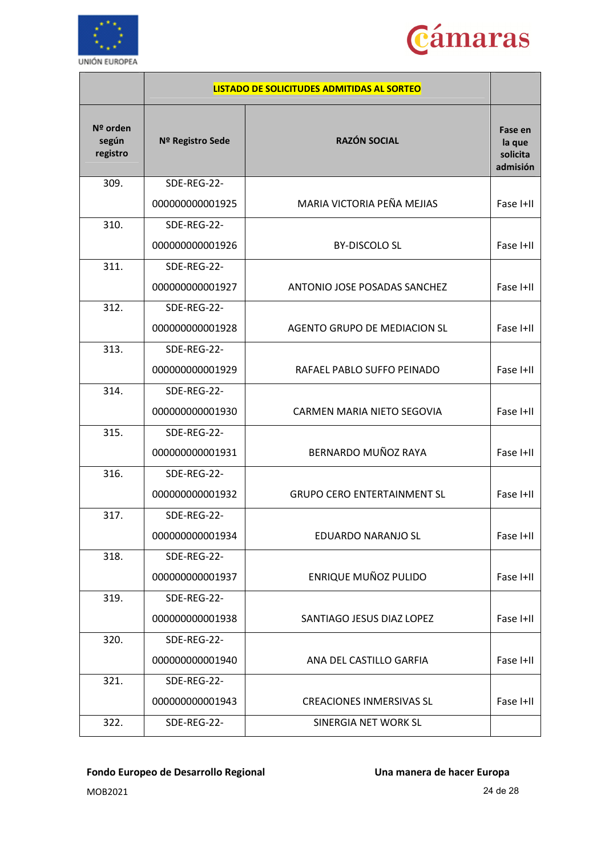



|                               |                  | <b>LISTADO DE SOLICITUDES ADMITIDAS AL SORTEO</b> |                                           |
|-------------------------------|------------------|---------------------------------------------------|-------------------------------------------|
| Nº orden<br>según<br>registro | Nº Registro Sede | <b>RAZÓN SOCIAL</b>                               | Fase en<br>la que<br>solicita<br>admisión |
| 309.                          | SDE-REG-22-      |                                                   |                                           |
|                               | 000000000001925  | MARIA VICTORIA PEÑA MEJIAS                        | Fase I+II                                 |
| 310.                          | SDE-REG-22-      |                                                   |                                           |
|                               | 000000000001926  | <b>BY-DISCOLO SL</b>                              | Fase I+II                                 |
| 311.                          | SDE-REG-22-      |                                                   |                                           |
|                               | 000000000001927  | ANTONIO JOSE POSADAS SANCHEZ                      | Fase I+II                                 |
| 312.                          | SDE-REG-22-      |                                                   |                                           |
|                               | 000000000001928  | AGENTO GRUPO DE MEDIACION SL                      | Fase I+II                                 |
| 313.                          | SDE-REG-22-      |                                                   |                                           |
|                               | 000000000001929  | RAFAEL PABLO SUFFO PEINADO                        | Fase I+II                                 |
| 314.                          | SDE-REG-22-      |                                                   |                                           |
|                               | 000000000001930  | CARMEN MARIA NIETO SEGOVIA                        | Fase I+II                                 |
| 315.                          | SDE-REG-22-      |                                                   |                                           |
|                               | 000000000001931  | BERNARDO MUÑOZ RAYA                               | Fase I+II                                 |
| 316.                          | SDE-REG-22-      |                                                   |                                           |
|                               | 000000000001932  | <b>GRUPO CERO ENTERTAINMENT SL</b>                | Fase I+II                                 |
| 317.                          | SDE-REG-22-      |                                                   |                                           |
|                               | 000000000001934  | EDUARDO NARANJO SL                                | Fase I+II                                 |
| 318.                          | SDE-REG-22-      |                                                   |                                           |
|                               | 000000000001937  | ENRIQUE MUÑOZ PULIDO                              | Fase I+II                                 |
| 319.                          | SDE-REG-22-      |                                                   |                                           |
|                               | 000000000001938  | SANTIAGO JESUS DIAZ LOPEZ                         | Fase I+II                                 |
| 320.                          | SDE-REG-22-      |                                                   |                                           |
|                               | 000000000001940  | ANA DEL CASTILLO GARFIA                           | Fase I+II                                 |
| 321.                          | SDE-REG-22-      |                                                   |                                           |
|                               | 000000000001943  | <b>CREACIONES INMERSIVAS SL</b>                   | Fase I+II                                 |
| 322.                          | SDE-REG-22-      | SINERGIA NET WORK SL                              |                                           |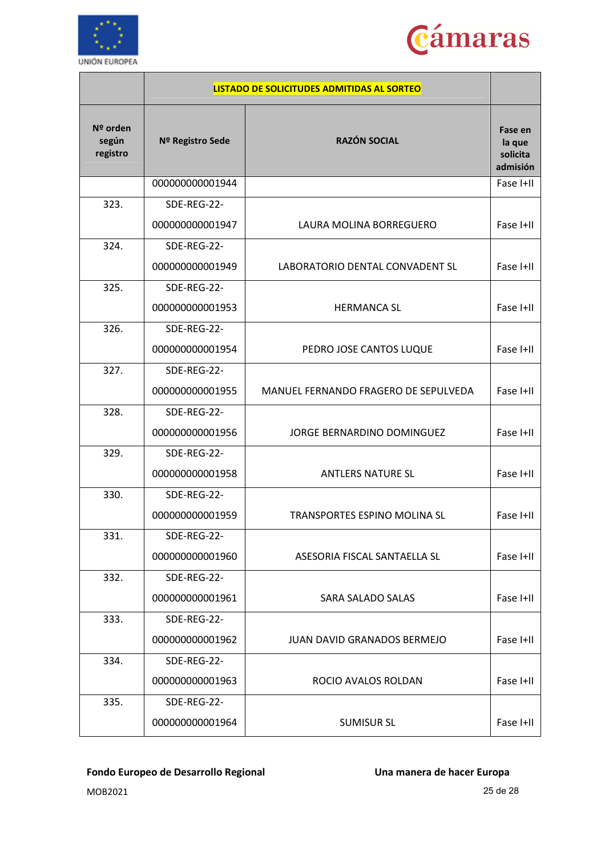



|                               | <b>LISTADO DE SOLICITUDES ADMITIDAS AL SORTEO</b> |                                      |                                           |
|-------------------------------|---------------------------------------------------|--------------------------------------|-------------------------------------------|
| Nº orden<br>según<br>registro | Nº Registro Sede                                  | <b>RAZÓN SOCIAL</b>                  | Fase en<br>la que<br>solicita<br>admisión |
|                               | 000000000001944                                   |                                      | Fase I+II                                 |
| 323.                          | SDE-REG-22-                                       |                                      |                                           |
|                               | 000000000001947                                   | LAURA MOLINA BORREGUERO              | Fase I+II                                 |
| 324.                          | SDE-REG-22-                                       |                                      |                                           |
|                               | 000000000001949                                   | LABORATORIO DENTAL CONVADENT SL      | Fase I+II                                 |
| 325.                          | SDE-REG-22-                                       |                                      |                                           |
|                               | 000000000001953                                   | <b>HERMANCA SL</b>                   | Fase I+II                                 |
| 326.                          | SDE-REG-22-                                       |                                      |                                           |
|                               | 000000000001954                                   | PEDRO JOSE CANTOS LUQUE              | Fase I+II                                 |
| 327.                          | SDE-REG-22-                                       |                                      |                                           |
|                               | 000000000001955                                   | MANUEL FERNANDO FRAGERO DE SEPULVEDA | Fase I+II                                 |
| 328.                          | SDE-REG-22-                                       |                                      |                                           |
|                               | 000000000001956                                   | JORGE BERNARDINO DOMINGUEZ           | Fase I+II                                 |
| 329.                          | SDE-REG-22-                                       |                                      |                                           |
|                               | 000000000001958                                   | <b>ANTLERS NATURE SL</b>             | Fase I+II                                 |
| 330.                          | SDE-REG-22-                                       |                                      |                                           |
|                               | 000000000001959                                   | <b>TRANSPORTES ESPINO MOLINA SL</b>  | Fase I+II                                 |
| 331.                          | SDE-REG-22-                                       |                                      |                                           |
|                               | 000000000001960                                   | ASESORIA FISCAL SANTAELLA SL         | Fase I+II                                 |
| 332.                          | SDE-REG-22-                                       |                                      |                                           |
|                               | 000000000001961                                   | SARA SALADO SALAS                    | Fase I+II                                 |
| 333.                          | SDE-REG-22-                                       |                                      |                                           |
|                               | 000000000001962                                   | <b>JUAN DAVID GRANADOS BERMEJO</b>   | Fase I+II                                 |
| 334.                          | SDE-REG-22-                                       |                                      |                                           |
|                               | 000000000001963                                   | ROCIO AVALOS ROLDAN                  | Fase I+II                                 |
| 335.                          | SDE-REG-22-                                       |                                      |                                           |
|                               | 000000000001964                                   | <b>SUMISUR SL</b>                    | Fase I+II                                 |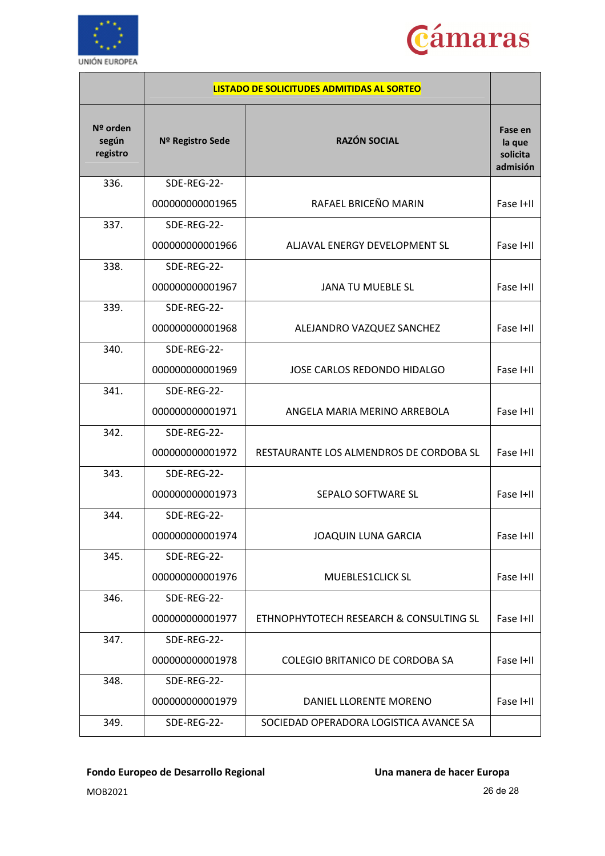



|                               | <b>LISTADO DE SOLICITUDES ADMITIDAS AL SORTEO</b> |                                         |                                           |
|-------------------------------|---------------------------------------------------|-----------------------------------------|-------------------------------------------|
| Nº orden<br>según<br>registro | Nº Registro Sede                                  | <b>RAZÓN SOCIAL</b>                     | Fase en<br>la que<br>solicita<br>admisión |
| 336.                          | SDE-REG-22-                                       |                                         |                                           |
|                               | 000000000001965                                   | RAFAEL BRICEÑO MARIN                    | Fase I+II                                 |
| 337.                          | SDE-REG-22-                                       |                                         |                                           |
|                               | 000000000001966                                   | ALJAVAL ENERGY DEVELOPMENT SL           | Fase I+II                                 |
| 338.                          | SDE-REG-22-                                       |                                         |                                           |
|                               | 000000000001967                                   | <b>JANA TU MUEBLE SL</b>                | Fase I+II                                 |
| 339.                          | SDE-REG-22-                                       |                                         |                                           |
|                               | 000000000001968                                   | ALEJANDRO VAZQUEZ SANCHEZ               | Fase I+II                                 |
| 340.                          | SDE-REG-22-                                       |                                         |                                           |
|                               | 000000000001969                                   | JOSE CARLOS REDONDO HIDALGO             | Fase I+II                                 |
| 341.                          | SDE-REG-22-                                       |                                         |                                           |
|                               | 000000000001971                                   | ANGELA MARIA MERINO ARREBOLA            | Fase I+II                                 |
| 342.                          | SDE-REG-22-                                       |                                         |                                           |
|                               | 000000000001972                                   | RESTAURANTE LOS ALMENDROS DE CORDOBA SL | Fase I+II                                 |
| 343.                          | SDE-REG-22-                                       |                                         |                                           |
|                               | 000000000001973                                   | SEPALO SOFTWARE SL                      | Fase I+II                                 |
| 344.                          | SDE-REG-22-                                       |                                         |                                           |
|                               | 000000000001974                                   | JOAQUIN LUNA GARCIA                     | Fase I+II                                 |
| 345.                          | SDE-REG-22-                                       |                                         |                                           |
|                               | 000000000001976                                   | MUEBLES1CLICK SL                        | Fase I+II                                 |
| 346.                          | SDE-REG-22-                                       |                                         |                                           |
|                               | 000000000001977                                   | ETHNOPHYTOTECH RESEARCH & CONSULTING SL | Fase I+II                                 |
| 347.                          | SDE-REG-22-                                       |                                         |                                           |
|                               | 000000000001978                                   | COLEGIO BRITANICO DE CORDOBA SA         | Fase I+II                                 |
| 348.                          | SDE-REG-22-                                       |                                         |                                           |
|                               | 000000000001979                                   | DANIEL LLORENTE MORENO                  | Fase I+II                                 |
| 349.                          | SDE-REG-22-                                       | SOCIEDAD OPERADORA LOGISTICA AVANCE SA  |                                           |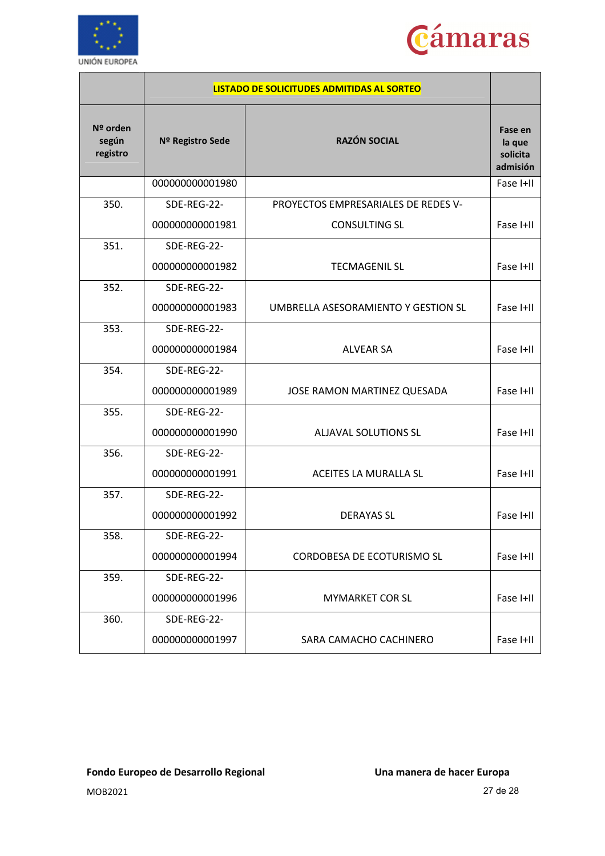



|                               | LISTADO DE SOLICITUDES ADMITIDAS AL SORTEO |                                     |                                           |
|-------------------------------|--------------------------------------------|-------------------------------------|-------------------------------------------|
| Nº orden<br>según<br>registro | Nº Registro Sede                           | <b>RAZÓN SOCIAL</b>                 | Fase en<br>la que<br>solicita<br>admisión |
|                               | 000000000001980                            |                                     | Fase I+II                                 |
| 350.                          | SDE-REG-22-                                | PROYECTOS EMPRESARIALES DE REDES V- |                                           |
|                               | 000000000001981                            | <b>CONSULTING SL</b>                | Fase I+II                                 |
| 351.                          | SDE-REG-22-                                |                                     |                                           |
|                               | 000000000001982                            | <b>TECMAGENIL SL</b>                | Fase I+II                                 |
| 352.                          | SDE-REG-22-                                |                                     |                                           |
|                               | 000000000001983                            | UMBRELLA ASESORAMIENTO Y GESTION SL | Fase I+II                                 |
| 353.                          | SDE-REG-22-                                |                                     |                                           |
|                               | 000000000001984                            | <b>ALVEAR SA</b>                    | Fase I+II                                 |
| 354.                          | SDE-REG-22-                                |                                     |                                           |
|                               | 000000000001989                            | JOSE RAMON MARTINEZ QUESADA         | Fase I+II                                 |
| 355.                          | SDE-REG-22-                                |                                     |                                           |
|                               | 000000000001990                            | ALJAVAL SOLUTIONS SL                | Fase I+II                                 |
| 356.                          | SDE-REG-22-                                |                                     |                                           |
|                               | 000000000001991                            | ACEITES LA MURALLA SL               | Fase I+II                                 |
| 357.                          | SDE-REG-22-                                |                                     |                                           |
|                               | 000000000001992                            | <b>DERAYAS SL</b>                   | Fase I+II                                 |
| 358.                          | SDE-REG-22-                                |                                     |                                           |
|                               | 000000000001994                            | CORDOBESA DE ECOTURISMO SL          | Fase I+II                                 |
| 359.                          | SDE-REG-22-                                |                                     |                                           |
|                               | 000000000001996                            | <b>MYMARKET COR SL</b>              | Fase I+II                                 |
| 360.                          | SDE-REG-22-                                |                                     |                                           |
|                               | 000000000001997                            | SARA CAMACHO CACHINERO              | Fase I+II                                 |